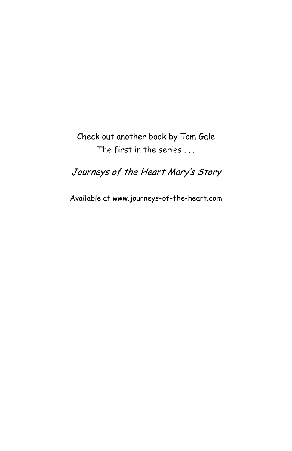### Check out another book by Tom Gale The first in the series . . .

### Journeys of the Heart Mary's Story

Available at www.journeys-of-the-heart.com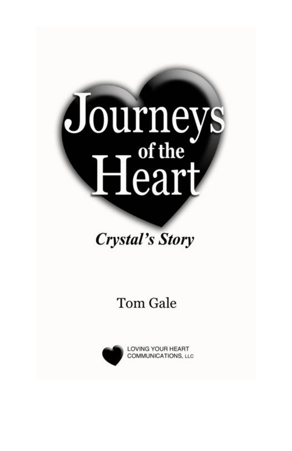# Journeys<br>Heart

# **Crystal's Story**

# **Tom Gale**

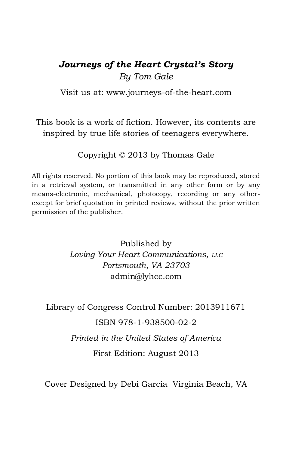### *Journeys of the Heart Crystal's Story By Tom Gale*

Visit us at: [www.journeys-of-the-heart.com](http://www.journeys-of-the-heart.com/)

This book is a work of fiction. However, its contents are inspired by true life stories of teenagers everywhere.

Copyright © 2013 by Thomas Gale

All rights reserved. No portion of this book may be reproduced, stored in a retrieval system, or transmitted in any other form or by any means-electronic, mechanical, photocopy, recording or any otherexcept for brief quotation in printed reviews, without the prior written permission of the publisher.

> Published by *Loving Your Heart Communications, LLC Portsmouth, VA 23703* [admin@lyhcc.com](mailto:admin@lyhcc.com)

Library of Congress Control Number: 2013911671 ISBN 978-1-938500-02-2 *Printed in the United States of America* First Edition: August 2013

Cover Designed by Debi Garcia Virginia Beach, VA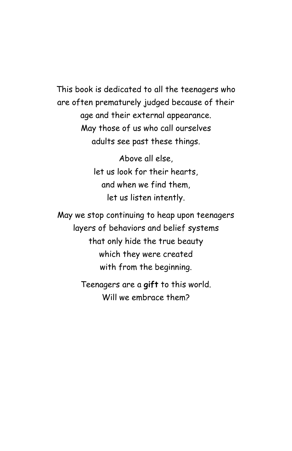This book is dedicated to all the teenagers who are often prematurely judged because of their age and their external appearance. May those of us who call ourselves adults see past these things.

> Above all else, let us look for their hearts, and when we find them, let us listen intently.

May we stop continuing to heap upon teenagers layers of behaviors and belief systems that only hide the true beauty which they were created with from the beginning.

> Teenagers are a **gift** to this world. Will we embrace them?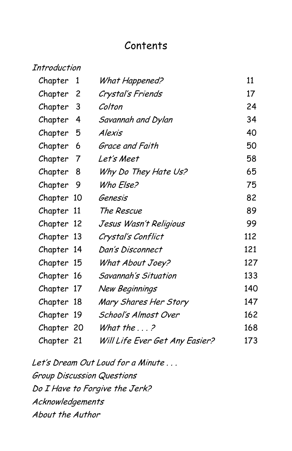### Contents

| Introduction |    |                                |     |
|--------------|----|--------------------------------|-----|
| Chapter      | 1  | What Happened?                 | 11  |
| Chapter      | 2  | Crystal's Friends              | 17  |
| Chapter      | 3  | Colton                         | 24  |
| Chapter      | 4  | Savannah and Dylan             | 34  |
| Chapter      | 5  | Alexis                         | 40  |
| Chapter      | 6  | Grace and Faith                | 50  |
| Chapter      | 7  | Let's Meet                     | 58  |
| Chapter      | 8  | Why Do They Hate Us?           | 65  |
| Chapter      | 9  | Who Else?                      | 75  |
| Chapter 10   |    | Genesis                        | 82  |
| Chapter      | 11 | The Rescue                     | 89  |
| Chapter 12   |    | Jesus Wasn't Religious         | 99  |
| Chapter 13   |    | Crystal's Conflict             | 112 |
| Chapter 14   |    | Dan's Disconnect               | 121 |
| Chapter 15   |    | What About Joey?               | 127 |
| Chapter 16   |    | Savannah's Situation           | 133 |
| Chapter 17   |    | New Beginnings                 | 140 |
| Chapter 18   |    | Mary Shares Her Story          | 147 |
| Chapter      | 19 | School's Almost Over           | 162 |
| Chapter 20   |    | What the $\ldots$ ?            | 168 |
| Chapter 21   |    | Will Life Ever Get Any Easier? | 173 |

Let's Dream Out Loud for a Minute... Group Discussion Questions Do I Have to Forgive the Jerk? Acknowledgements About the Author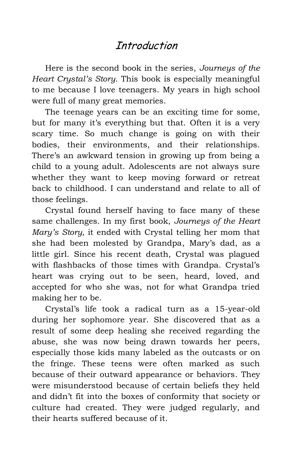### **Introduction**

Here is the second book in the series, *Journeys of the Heart Crystal's Story.* This book is especially meaningful to me because I love teenagers. My years in high school were full of many great memories.

The teenage years can be an exciting time for some, but for many it's everything but that. Often it is a very scary time. So much change is going on with their bodies, their environments, and their relationships. There's an awkward tension in growing up from being a child to a young adult. Adolescents are not always sure whether they want to keep moving forward or retreat back to childhood. I can understand and relate to all of those feelings.

Crystal found herself having to face many of these same challenges. In my first book, *Journeys of the Heart Mary's Story,* it ended with Crystal telling her mom that she had been molested by Grandpa, Mary's dad, as a little girl. Since his recent death, Crystal was plagued with flashbacks of those times with Grandpa. Crystal's heart was crying out to be seen, heard, loved, and accepted for who she was, not for what Grandpa tried making her to be.

Crystal's life took a radical turn as a 15-year-old during her sophomore year. She discovered that as a result of some deep healing she received regarding the abuse, she was now being drawn towards her peers, especially those kids many labeled as the outcasts or on the fringe. These teens were often marked as such because of their outward appearance or behaviors. They were misunderstood because of certain beliefs they held and didn't fit into the boxes of conformity that society or culture had created. They were judged regularly, and their hearts suffered because of it.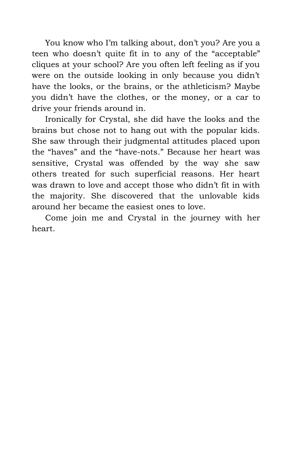You know who I'm talking about, don't you? Are you a teen who doesn't quite fit in to any of the "acceptable" cliques at your school? Are you often left feeling as if you were on the outside looking in only because you didn't have the looks, or the brains, or the athleticism? Maybe you didn't have the clothes, or the money, or a car to drive your friends around in.

Ironically for Crystal, she did have the looks and the brains but chose not to hang out with the popular kids. She saw through their judgmental attitudes placed upon the "haves" and the "have-nots." Because her heart was sensitive, Crystal was offended by the way she saw others treated for such superficial reasons. Her heart was drawn to love and accept those who didn't fit in with the majority. She discovered that the unlovable kids around her became the easiest ones to love.

Come join me and Crystal in the journey with her heart.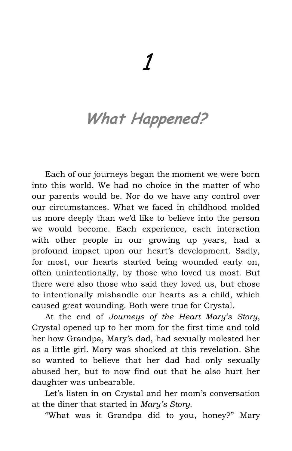# **What Happened?**

Each of our journeys began the moment we were born into this world. We had no choice in the matter of who our parents would be. Nor do we have any control over our circumstances. What we faced in childhood molded us more deeply than we'd like to believe into the person we would become. Each experience, each interaction with other people in our growing up years, had a profound impact upon our heart's development. Sadly, for most, our hearts started being wounded early on, often unintentionally, by those who loved us most. But there were also those who said they loved us, but chose to intentionally mishandle our hearts as a child, which caused great wounding. Both were true for Crystal.

At the end of *Journeys of the Heart Mary's Story*, Crystal opened up to her mom for the first time and told her how Grandpa, Mary's dad, had sexually molested her as a little girl. Mary was shocked at this revelation. She so wanted to believe that her dad had only sexually abused her, but to now find out that he also hurt her daughter was unbearable.

Let's listen in on Crystal and her mom's conversation at the diner that started in *Mary's Story.*

"What was it Grandpa did to you, honey?" Mary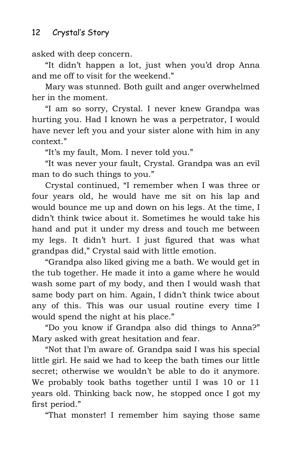asked with deep concern.

"It didn't happen a lot, just when you'd drop Anna and me off to visit for the weekend."

Mary was stunned. Both guilt and anger overwhelmed her in the moment.

"I am so sorry, Crystal. I never knew Grandpa was hurting you. Had I known he was a perpetrator, I would have never left you and your sister alone with him in any context."

"It's my fault, Mom. I never told you."

"It was never your fault, Crystal. Grandpa was an evil man to do such things to you."

Crystal continued, "I remember when I was three or four years old, he would have me sit on his lap and would bounce me up and down on his legs. At the time, I didn't think twice about it. Sometimes he would take his hand and put it under my dress and touch me between my legs. It didn't hurt. I just figured that was what grandpas did," Crystal said with little emotion.

"Grandpa also liked giving me a bath. We would get in the tub together. He made it into a game where he would wash some part of my body, and then I would wash that same body part on him. Again, I didn't think twice about any of this. This was our usual routine every time I would spend the night at his place."

"Do you know if Grandpa also did things to Anna?" Mary asked with great hesitation and fear.

"Not that I'm aware of. Grandpa said I was his special little girl. He said we had to keep the bath times our little secret; otherwise we wouldn't be able to do it anymore. We probably took baths together until I was 10 or 11 years old. Thinking back now, he stopped once I got my first period."

"That monster! I remember him saying those same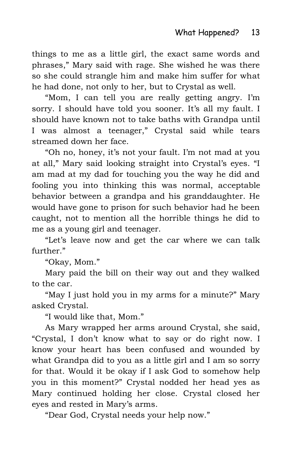things to me as a little girl, the exact same words and phrases," Mary said with rage. She wished he was there so she could strangle him and make him suffer for what he had done, not only to her, but to Crystal as well.

"Mom, I can tell you are really getting angry. I'm sorry. I should have told you sooner. It's all my fault. I should have known not to take baths with Grandpa until I was almost a teenager," Crystal said while tears streamed down her face.

"Oh no, honey, it's not your fault. I'm not mad at you at all," Mary said looking straight into Crystal's eyes. "I am mad at my dad for touching you the way he did and fooling you into thinking this was normal, acceptable behavior between a grandpa and his granddaughter. He would have gone to prison for such behavior had he been caught, not to mention all the horrible things he did to me as a young girl and teenager.

"Let's leave now and get the car where we can talk further."

"Okay, Mom."

Mary paid the bill on their way out and they walked to the car.

"May I just hold you in my arms for a minute?" Mary asked Crystal.

"I would like that, Mom."

As Mary wrapped her arms around Crystal, she said, "Crystal, I don't know what to say or do right now. I know your heart has been confused and wounded by what Grandpa did to you as a little girl and I am so sorry for that. Would it be okay if I ask God to somehow help you in this moment?" Crystal nodded her head yes as Mary continued holding her close. Crystal closed her eyes and rested in Mary's arms.

"Dear God, Crystal needs your help now."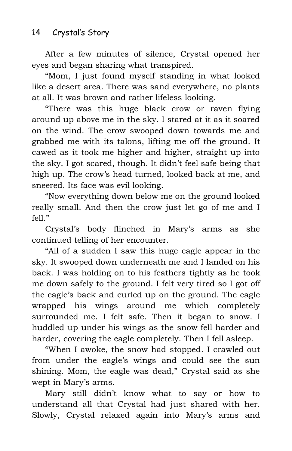After a few minutes of silence, Crystal opened her eyes and began sharing what transpired.

"Mom, I just found myself standing in what looked like a desert area. There was sand everywhere, no plants at all. It was brown and rather lifeless looking.

"There was this huge black crow or raven flying around up above me in the sky. I stared at it as it soared on the wind. The crow swooped down towards me and grabbed me with its talons, lifting me off the ground. It cawed as it took me higher and higher, straight up into the sky. I got scared, though. It didn't feel safe being that high up. The crow's head turned, looked back at me, and sneered. Its face was evil looking.

"Now everything down below me on the ground looked really small. And then the crow just let go of me and I fell."

Crystal's body flinched in Mary's arms as she continued telling of her encounter.

"All of a sudden I saw this huge eagle appear in the sky. It swooped down underneath me and I landed on his back. I was holding on to his feathers tightly as he took me down safely to the ground. I felt very tired so I got off the eagle's back and curled up on the ground. The eagle wrapped his wings around me which completely surrounded me. I felt safe. Then it began to snow. I huddled up under his wings as the snow fell harder and harder, covering the eagle completely. Then I fell asleep.

"When I awoke, the snow had stopped. I crawled out from under the eagle's wings and could see the sun shining. Mom, the eagle was dead," Crystal said as she wept in Mary's arms.

Mary still didn't know what to say or how to understand all that Crystal had just shared with her. Slowly, Crystal relaxed again into Mary's arms and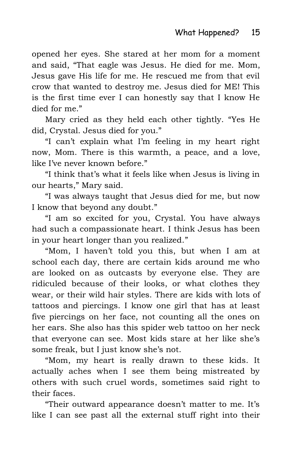opened her eyes. She stared at her mom for a moment and said, "That eagle was Jesus. He died for me. Mom, Jesus gave His life for me. He rescued me from that evil crow that wanted to destroy me. Jesus died for ME! This is the first time ever I can honestly say that I know He died for me."

Mary cried as they held each other tightly. "Yes He did, Crystal. Jesus died for you."

"I can't explain what I'm feeling in my heart right now, Mom. There is this warmth, a peace, and a love, like I've never known before."

"I think that's what it feels like when Jesus is living in our hearts," Mary said.

"I was always taught that Jesus died for me, but now I know that beyond any doubt."

"I am so excited for you, Crystal. You have always had such a compassionate heart. I think Jesus has been in your heart longer than you realized."

"Mom, I haven't told you this, but when I am at school each day, there are certain kids around me who are looked on as outcasts by everyone else. They are ridiculed because of their looks, or what clothes they wear, or their wild hair styles. There are kids with lots of tattoos and piercings. I know one girl that has at least five piercings on her face, not counting all the ones on her ears. She also has this spider web tattoo on her neck that everyone can see. Most kids stare at her like she's some freak, but I just know she's not.

"Mom, my heart is really drawn to these kids. It actually aches when I see them being mistreated by others with such cruel words, sometimes said right to their faces.

"Their outward appearance doesn't matter to me. It's like I can see past all the external stuff right into their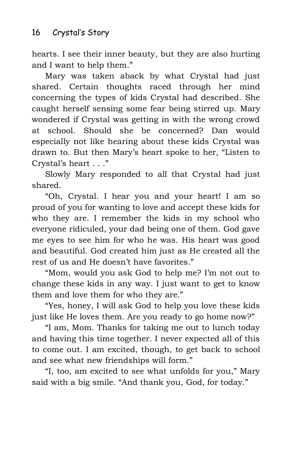hearts. I see their inner beauty, but they are also hurting and I want to help them."

Mary was taken aback by what Crystal had just shared. Certain thoughts raced through her mind concerning the types of kids Crystal had described. She caught herself sensing some fear being stirred up. Mary wondered if Crystal was getting in with the wrong crowd at school. Should she be concerned? Dan would especially not like hearing about these kids Crystal was drawn to. But then Mary's heart spoke to her, "Listen to Crystal's heart . . ."

Slowly Mary responded to all that Crystal had just shared.

"Oh, Crystal. I hear you and your heart! I am so proud of you for wanting to love and accept these kids for who they are. I remember the kids in my school who everyone ridiculed, your dad being one of them. God gave me eyes to see him for who he was. His heart was good and beautiful. God created him just as He created all the rest of us and He doesn't have favorites."

"Mom, would you ask God to help me? I'm not out to change these kids in any way. I just want to get to know them and love them for who they are."

"Yes, honey, I will ask God to help you love these kids just like He loves them. Are you ready to go home now?"

"I am, Mom. Thanks for taking me out to lunch today and having this time together. I never expected all of this to come out. I am excited, though, to get back to school and see what new friendships will form."

"I, too, am excited to see what unfolds for you," Mary said with a big smile. "And thank you, God, for today."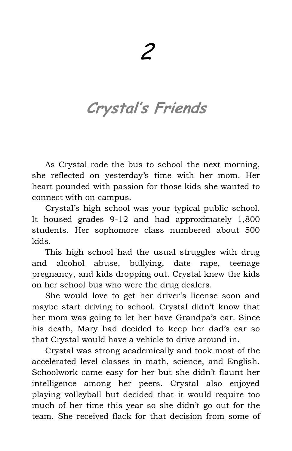# **Crystal's Friends**

As Crystal rode the bus to school the next morning, she reflected on yesterday's time with her mom. Her heart pounded with passion for those kids she wanted to connect with on campus.

Crystal's high school was your typical public school. It housed grades 9-12 and had approximately 1,800 students. Her sophomore class numbered about 500 kids.

This high school had the usual struggles with drug and alcohol abuse, bullying, date rape, teenage pregnancy, and kids dropping out. Crystal knew the kids on her school bus who were the drug dealers.

She would love to get her driver's license soon and maybe start driving to school. Crystal didn't know that her mom was going to let her have Grandpa's car. Since his death, Mary had decided to keep her dad's car so that Crystal would have a vehicle to drive around in.

Crystal was strong academically and took most of the accelerated level classes in math, science, and English. Schoolwork came easy for her but she didn't flaunt her intelligence among her peers. Crystal also enjoyed playing volleyball but decided that it would require too much of her time this year so she didn't go out for the team. She received flack for that decision from some of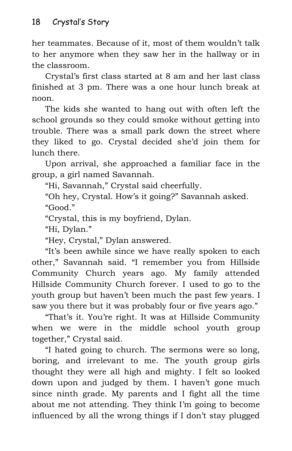her teammates. Because of it, most of them wouldn't talk to her anymore when they saw her in the hallway or in the classroom.

Crystal's first class started at 8 am and her last class finished at 3 pm. There was a one hour lunch break at noon.

The kids she wanted to hang out with often left the school grounds so they could smoke without getting into trouble. There was a small park down the street where they liked to go. Crystal decided she'd join them for lunch there.

Upon arrival, she approached a familiar face in the group, a girl named Savannah.

"Hi, Savannah," Crystal said cheerfully.

"Oh hey, Crystal. How's it going?" Savannah asked. "Good."

"Crystal, this is my boyfriend, Dylan.

"Hi, Dylan."

"Hey, Crystal," Dylan answered.

"It's been awhile since we have really spoken to each other," Savannah said. "I remember you from Hillside Community Church years ago. My family attended Hillside Community Church forever. I used to go to the youth group but haven't been much the past few years. I saw you there but it was probably four or five years ago."

"That's it. You're right. It was at Hillside Community when we were in the middle school youth group together," Crystal said.

"I hated going to church. The sermons were so long, boring, and irrelevant to me. The youth group girls thought they were all high and mighty. I felt so looked down upon and judged by them. I haven't gone much since ninth grade. My parents and I fight all the time about me not attending. They think I'm going to become influenced by all the wrong things if I don't stay plugged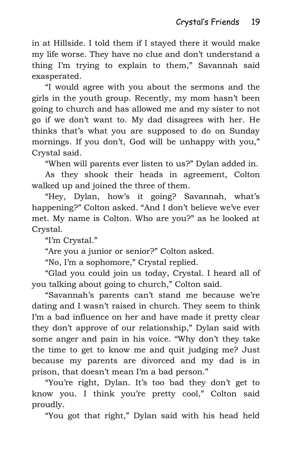in at Hillside. I told them if I stayed there it would make my life worse. They have no clue and don't understand a thing I'm trying to explain to them," Savannah said exasperated.

"I would agree with you about the sermons and the girls in the youth group. Recently, my mom hasn't been going to church and has allowed me and my sister to not go if we don't want to. My dad disagrees with her. He thinks that's what you are supposed to do on Sunday mornings. If you don't, God will be unhappy with you," Crystal said.

"When will parents ever listen to us?" Dylan added in.

As they shook their heads in agreement, Colton walked up and joined the three of them.

"Hey, Dylan, how's it going? Savannah, what's happening?" Colton asked. "And I don't believe we've ever met. My name is Colton. Who are you?" as he looked at Crystal.

"I'm Crystal."

"Are you a junior or senior?" Colton asked.

"No, I'm a sophomore," Crystal replied.

"Glad you could join us today, Crystal. I heard all of you talking about going to church," Colton said.

"Savannah's parents can't stand me because we're dating and I wasn't raised in church. They seem to think I'm a bad influence on her and have made it pretty clear they don't approve of our relationship," Dylan said with some anger and pain in his voice. "Why don't they take the time to get to know me and quit judging me? Just because my parents are divorced and my dad is in prison, that doesn't mean I'm a bad person."

"You're right, Dylan. It's too bad they don't get to know you. I think you're pretty cool," Colton said proudly.

"You got that right," Dylan said with his head held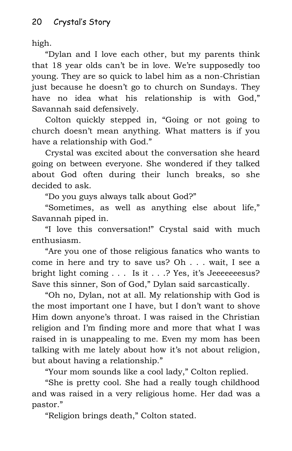high.

"Dylan and I love each other, but my parents think that 18 year olds can't be in love. We're supposedly too young. They are so quick to label him as a non-Christian just because he doesn't go to church on Sundays. They have no idea what his relationship is with God," Savannah said defensively.

Colton quickly stepped in, "Going or not going to church doesn't mean anything. What matters is if you have a relationship with God."

Crystal was excited about the conversation she heard going on between everyone. She wondered if they talked about God often during their lunch breaks, so she decided to ask.

"Do you guys always talk about God?"

"Sometimes, as well as anything else about life," Savannah piped in.

"I love this conversation!" Crystal said with much enthusiasm.

"Are you one of those religious fanatics who wants to come in here and try to save us? Oh . . . wait, I see a bright light coming . . . Is it . . .? Yes, it's Jeeeeeeesus? Save this sinner, Son of God," Dylan said sarcastically.

"Oh no, Dylan, not at all. My relationship with God is the most important one I have, but I don't want to shove Him down anyone's throat. I was raised in the Christian religion and I'm finding more and more that what I was raised in is unappealing to me. Even my mom has been talking with me lately about how it's not about religion, but about having a relationship."

"Your mom sounds like a cool lady," Colton replied.

"She is pretty cool. She had a really tough childhood and was raised in a very religious home. Her dad was a pastor."

"Religion brings death," Colton stated.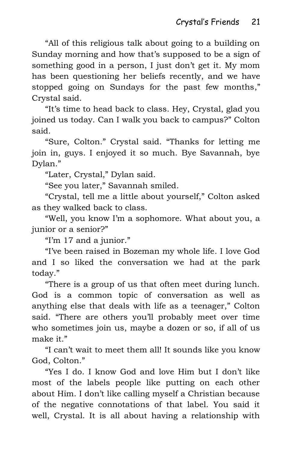"All of this religious talk about going to a building on Sunday morning and how that's supposed to be a sign of something good in a person, I just don't get it. My mom has been questioning her beliefs recently, and we have stopped going on Sundays for the past few months," Crystal said.

"It's time to head back to class. Hey, Crystal, glad you joined us today. Can I walk you back to campus?" Colton said.

"Sure, Colton." Crystal said. "Thanks for letting me join in, guys. I enjoyed it so much. Bye Savannah, bye Dylan."

"Later, Crystal," Dylan said.

"See you later," Savannah smiled.

"Crystal, tell me a little about yourself," Colton asked as they walked back to class.

"Well, you know I'm a sophomore. What about you, a junior or a senior?"

"I'm 17 and a junior."

"I've been raised in Bozeman my whole life. I love God and I so liked the conversation we had at the park today."

"There is a group of us that often meet during lunch. God is a common topic of conversation as well as anything else that deals with life as a teenager," Colton said. "There are others you'll probably meet over time who sometimes join us, maybe a dozen or so, if all of us make it."

"I can't wait to meet them all! It sounds like you know God, Colton."

"Yes I do. I know God and love Him but I don't like most of the labels people like putting on each other about Him. I don't like calling myself a Christian because of the negative connotations of that label. You said it well, Crystal. It is all about having a relationship with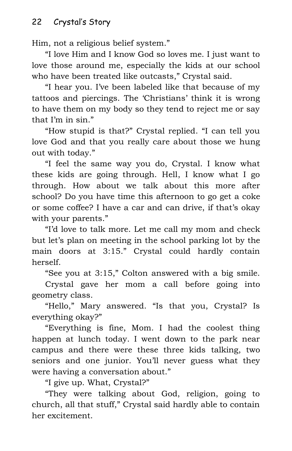Him, not a religious belief system."

"I love Him and I know God so loves me. I just want to love those around me, especially the kids at our school who have been treated like outcasts," Crystal said.

"I hear you. I've been labeled like that because of my tattoos and piercings. The 'Christians' think it is wrong to have them on my body so they tend to reject me or say that I'm in sin."

"How stupid is that?" Crystal replied. "I can tell you love God and that you really care about those we hung out with today."

"I feel the same way you do, Crystal. I know what these kids are going through. Hell, I know what I go through. How about we talk about this more after school? Do you have time this afternoon to go get a coke or some coffee? I have a car and can drive, if that's okay with your parents."

"I'd love to talk more. Let me call my mom and check but let's plan on meeting in the school parking lot by the main doors at 3:15." Crystal could hardly contain herself.

"See you at 3:15," Colton answered with a big smile.

Crystal gave her mom a call before going into geometry class.

"Hello," Mary answered. "Is that you, Crystal? Is everything okay?"

"Everything is fine, Mom. I had the coolest thing happen at lunch today. I went down to the park near campus and there were these three kids talking, two seniors and one junior. You'll never guess what they were having a conversation about."

"I give up. What, Crystal?"

"They were talking about God, religion, going to church, all that stuff," Crystal said hardly able to contain her excitement.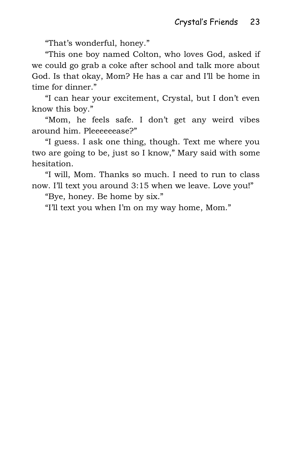"That's wonderful, honey."

"This one boy named Colton, who loves God, asked if we could go grab a coke after school and talk more about God. Is that okay, Mom? He has a car and I'll be home in time for dinner."

"I can hear your excitement, Crystal, but I don't even know this boy."

"Mom, he feels safe. I don't get any weird vibes around him. Pleeeeeease?"

"I guess. I ask one thing, though. Text me where you two are going to be, just so I know," Mary said with some hesitation.

"I will, Mom. Thanks so much. I need to run to class now. I'll text you around 3:15 when we leave. Love you!"

"Bye, honey. Be home by six."

"I'll text you when I'm on my way home, Mom."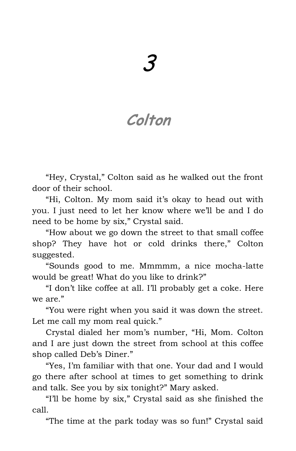# **Colton**

"Hey, Crystal," Colton said as he walked out the front door of their school.

"Hi, Colton. My mom said it's okay to head out with you. I just need to let her know where we'll be and I do need to be home by six," Crystal said.

"How about we go down the street to that small coffee shop? They have hot or cold drinks there," Colton suggested.

"Sounds good to me. Mmmmm, a nice mocha-latte would be great! What do you like to drink?"

"I don't like coffee at all. I'll probably get a coke. Here we are."

"You were right when you said it was down the street. Let me call my mom real quick."

Crystal dialed her mom's number, "Hi, Mom. Colton and I are just down the street from school at this coffee shop called Deb's Diner."

"Yes, I'm familiar with that one. Your dad and I would go there after school at times to get something to drink and talk. See you by six tonight?" Mary asked.

"I'll be home by six," Crystal said as she finished the call.

"The time at the park today was so fun!" Crystal said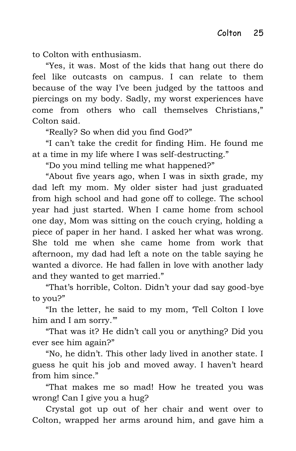to Colton with enthusiasm.

"Yes, it was. Most of the kids that hang out there do feel like outcasts on campus. I can relate to them because of the way I've been judged by the tattoos and piercings on my body. Sadly, my worst experiences have come from others who call themselves Christians," Colton said.

"Really? So when did you find God?"

"I can't take the credit for finding Him. He found me at a time in my life where I was self-destructing."

"Do you mind telling me what happened?"

"About five years ago, when I was in sixth grade, my dad left my mom. My older sister had just graduated from high school and had gone off to college. The school year had just started. When I came home from school one day, Mom was sitting on the couch crying, holding a piece of paper in her hand. I asked her what was wrong. She told me when she came home from work that afternoon, my dad had left a note on the table saying he wanted a divorce. He had fallen in love with another lady and they wanted to get married."

"That's horrible, Colton. Didn't your dad say good-bye to you?"

"In the letter, he said to my mom, 'Tell Colton I love him and I am sorry."

"That was it? He didn't call you or anything? Did you ever see him again?"

"No, he didn't. This other lady lived in another state. I guess he quit his job and moved away. I haven't heard from him since."

"That makes me so mad! How he treated you was wrong! Can I give you a hug?

Crystal got up out of her chair and went over to Colton, wrapped her arms around him, and gave him a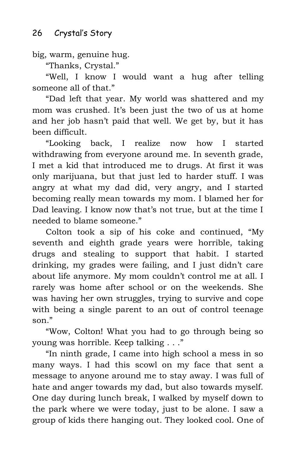big, warm, genuine hug.

"Thanks, Crystal."

"Well, I know I would want a hug after telling someone all of that."

"Dad left that year. My world was shattered and my mom was crushed. It's been just the two of us at home and her job hasn't paid that well. We get by, but it has been difficult.

"Looking back, I realize now how I started withdrawing from everyone around me. In seventh grade, I met a kid that introduced me to drugs. At first it was only marijuana, but that just led to harder stuff. I was angry at what my dad did, very angry, and I started becoming really mean towards my mom. I blamed her for Dad leaving. I know now that's not true, but at the time I needed to blame someone."

Colton took a sip of his coke and continued, "My seventh and eighth grade years were horrible, taking drugs and stealing to support that habit. I started drinking, my grades were failing, and I just didn't care about life anymore. My mom couldn't control me at all. I rarely was home after school or on the weekends. She was having her own struggles, trying to survive and cope with being a single parent to an out of control teenage son."

"Wow, Colton! What you had to go through being so young was horrible. Keep talking . . ."

"In ninth grade, I came into high school a mess in so many ways. I had this scowl on my face that sent a message to anyone around me to stay away. I was full of hate and anger towards my dad, but also towards myself. One day during lunch break, I walked by myself down to the park where we were today, just to be alone. I saw a group of kids there hanging out. They looked cool. One of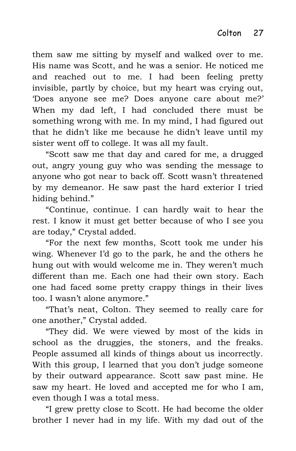them saw me sitting by myself and walked over to me. His name was Scott, and he was a senior. He noticed me and reached out to me. I had been feeling pretty invisible, partly by choice, but my heart was crying out, 'Does anyone see me? Does anyone care about me?' When my dad left, I had concluded there must be something wrong with me. In my mind, I had figured out that he didn't like me because he didn't leave until my sister went off to college. It was all my fault.

"Scott saw me that day and cared for me, a drugged out, angry young guy who was sending the message to anyone who got near to back off. Scott wasn't threatened by my demeanor. He saw past the hard exterior I tried hiding behind."

"Continue, continue. I can hardly wait to hear the rest. I know it must get better because of who I see you are today," Crystal added.

"For the next few months, Scott took me under his wing. Whenever I'd go to the park, he and the others he hung out with would welcome me in. They weren't much different than me. Each one had their own story. Each one had faced some pretty crappy things in their lives too. I wasn't alone anymore."

"That's neat, Colton. They seemed to really care for one another," Crystal added.

"They did. We were viewed by most of the kids in school as the druggies, the stoners, and the freaks. People assumed all kinds of things about us incorrectly. With this group, I learned that you don't judge someone by their outward appearance. Scott saw past mine. He saw my heart. He loved and accepted me for who I am, even though I was a total mess.

"I grew pretty close to Scott. He had become the older brother I never had in my life. With my dad out of the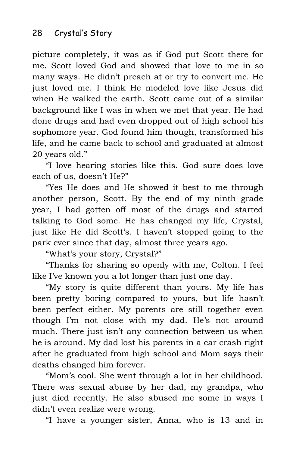picture completely, it was as if God put Scott there for me. Scott loved God and showed that love to me in so many ways. He didn't preach at or try to convert me. He just loved me. I think He modeled love like Jesus did when He walked the earth. Scott came out of a similar background like I was in when we met that year. He had done drugs and had even dropped out of high school his sophomore year. God found him though, transformed his life, and he came back to school and graduated at almost 20 years old."

"I love hearing stories like this. God sure does love each of us, doesn't He?"

"Yes He does and He showed it best to me through another person, Scott. By the end of my ninth grade year, I had gotten off most of the drugs and started talking to God some. He has changed my life, Crystal, just like He did Scott's. I haven't stopped going to the park ever since that day, almost three years ago.

"What's your story, Crystal?"

"Thanks for sharing so openly with me, Colton. I feel like I've known you a lot longer than just one day.

"My story is quite different than yours. My life has been pretty boring compared to yours, but life hasn't been perfect either. My parents are still together even though I'm not close with my dad. He's not around much. There just isn't any connection between us when he is around. My dad lost his parents in a car crash right after he graduated from high school and Mom says their deaths changed him forever.

"Mom's cool. She went through a lot in her childhood. There was sexual abuse by her dad, my grandpa, who just died recently. He also abused me some in ways I didn't even realize were wrong.

"I have a younger sister, Anna, who is 13 and in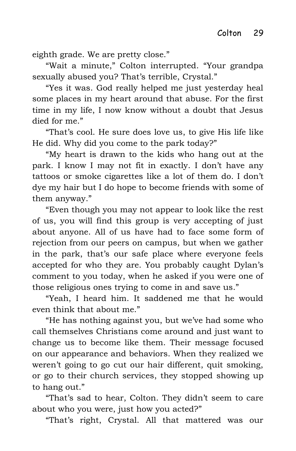eighth grade. We are pretty close."

"Wait a minute," Colton interrupted. "Your grandpa sexually abused you? That's terrible, Crystal."

"Yes it was. God really helped me just yesterday heal some places in my heart around that abuse. For the first time in my life, I now know without a doubt that Jesus died for me."

"That's cool. He sure does love us, to give His life like He did. Why did you come to the park today?"

"My heart is drawn to the kids who hang out at the park. I know I may not fit in exactly. I don't have any tattoos or smoke cigarettes like a lot of them do. I don't dye my hair but I do hope to become friends with some of them anyway."

"Even though you may not appear to look like the rest of us, you will find this group is very accepting of just about anyone. All of us have had to face some form of rejection from our peers on campus, but when we gather in the park, that's our safe place where everyone feels accepted for who they are. You probably caught Dylan's comment to you today, when he asked if you were one of those religious ones trying to come in and save us."

"Yeah, I heard him. It saddened me that he would even think that about me."

"He has nothing against you, but we've had some who call themselves Christians come around and just want to change us to become like them. Their message focused on our appearance and behaviors. When they realized we weren't going to go cut our hair different, quit smoking, or go to their church services, they stopped showing up to hang out."

"That's sad to hear, Colton. They didn't seem to care about who you were, just how you acted?"

"That's right, Crystal. All that mattered was our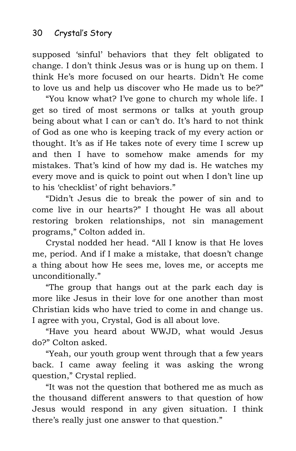supposed 'sinful' behaviors that they felt obligated to change. I don't think Jesus was or is hung up on them. I think He's more focused on our hearts. Didn't He come to love us and help us discover who He made us to be?"

"You know what? I've gone to church my whole life. I get so tired of most sermons or talks at youth group being about what I can or can't do. It's hard to not think of God as one who is keeping track of my every action or thought. It's as if He takes note of every time I screw up and then I have to somehow make amends for my mistakes. That's kind of how my dad is. He watches my every move and is quick to point out when I don't line up to his 'checklist' of right behaviors."

"Didn't Jesus die to break the power of sin and to come live in our hearts?" I thought He was all about restoring broken relationships, not sin management programs," Colton added in.

Crystal nodded her head. "All I know is that He loves me, period. And if I make a mistake, that doesn't change a thing about how He sees me, loves me, or accepts me unconditionally."

"The group that hangs out at the park each day is more like Jesus in their love for one another than most Christian kids who have tried to come in and change us. I agree with you, Crystal, God is all about love.

"Have you heard about WWJD, what would Jesus do?" Colton asked.

"Yeah, our youth group went through that a few years back. I came away feeling it was asking the wrong question," Crystal replied.

"It was not the question that bothered me as much as the thousand different answers to that question of how Jesus would respond in any given situation. I think there's really just one answer to that question."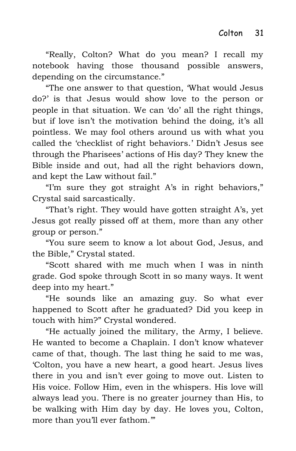"Really, Colton? What do you mean? I recall my notebook having those thousand possible answers, depending on the circumstance."

"The one answer to that question, 'What would Jesus do?' is that Jesus would show love to the person or people in that situation. We can 'do' all the right things, but if love isn't the motivation behind the doing, it's all pointless. We may fool others around us with what you called the 'checklist of right behaviors.' Didn't Jesus see through the Pharisees' actions of His day? They knew the Bible inside and out, had all the right behaviors down, and kept the Law without fail."

"I'm sure they got straight A's in right behaviors," Crystal said sarcastically.

"That's right. They would have gotten straight A's, yet Jesus got really pissed off at them, more than any other group or person."

"You sure seem to know a lot about God, Jesus, and the Bible," Crystal stated.

"Scott shared with me much when I was in ninth grade. God spoke through Scott in so many ways. It went deep into my heart."

"He sounds like an amazing guy. So what ever happened to Scott after he graduated? Did you keep in touch with him?" Crystal wondered.

"He actually joined the military, the Army, I believe. He wanted to become a Chaplain. I don't know whatever came of that, though. The last thing he said to me was, 'Colton, you have a new heart, a good heart. Jesus lives there in you and isn't ever going to move out. Listen to His voice. Follow Him, even in the whispers. His love will always lead you. There is no greater journey than His, to be walking with Him day by day. He loves you, Colton, more than you'll ever fathom.'"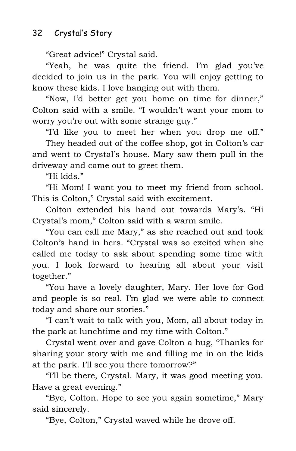"Great advice!" Crystal said.

"Yeah, he was quite the friend. I'm glad you've decided to join us in the park. You will enjoy getting to know these kids. I love hanging out with them.

"Now, I'd better get you home on time for dinner," Colton said with a smile. "I wouldn't want your mom to worry you're out with some strange guy."

"I'd like you to meet her when you drop me off."

They headed out of the coffee shop, got in Colton's car and went to Crystal's house. Mary saw them pull in the driveway and came out to greet them.

"Hi kids."

"Hi Mom! I want you to meet my friend from school. This is Colton," Crystal said with excitement.

Colton extended his hand out towards Mary's. "Hi Crystal's mom," Colton said with a warm smile.

"You can call me Mary," as she reached out and took Colton's hand in hers. "Crystal was so excited when she called me today to ask about spending some time with you. I look forward to hearing all about your visit together."

"You have a lovely daughter, Mary. Her love for God and people is so real. I'm glad we were able to connect today and share our stories."

"I can't wait to talk with you, Mom, all about today in the park at lunchtime and my time with Colton."

Crystal went over and gave Colton a hug, "Thanks for sharing your story with me and filling me in on the kids at the park. I'll see you there tomorrow?"

"I'll be there, Crystal. Mary, it was good meeting you. Have a great evening."

"Bye, Colton. Hope to see you again sometime," Mary said sincerely.

"Bye, Colton," Crystal waved while he drove off.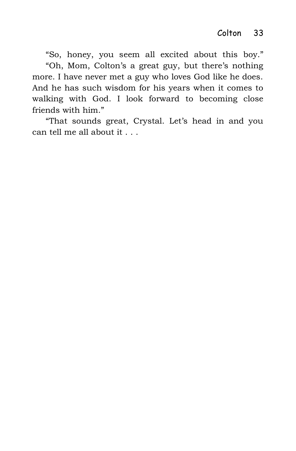"So, honey, you seem all excited about this boy." "Oh, Mom, Colton's a great guy, but there's nothing more. I have never met a guy who loves God like he does. And he has such wisdom for his years when it comes to walking with God. I look forward to becoming close friends with him."

"That sounds great, Crystal. Let's head in and you can tell me all about it . . .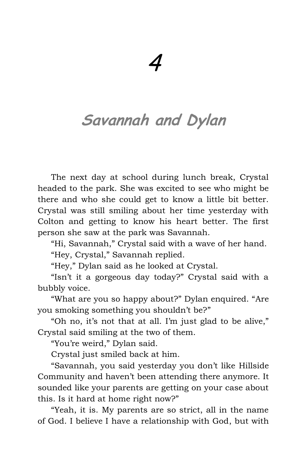## **Savannah and Dylan**

The next day at school during lunch break, Crystal headed to the park. She was excited to see who might be there and who she could get to know a little bit better. Crystal was still smiling about her time yesterday with Colton and getting to know his heart better. The first person she saw at the park was Savannah.

"Hi, Savannah," Crystal said with a wave of her hand.

"Hey, Crystal," Savannah replied.

"Hey," Dylan said as he looked at Crystal.

"Isn't it a gorgeous day today?" Crystal said with a bubbly voice.

"What are you so happy about?" Dylan enquired. "Are you smoking something you shouldn't be?"

"Oh no, it's not that at all. I'm just glad to be alive," Crystal said smiling at the two of them.

"You're weird," Dylan said.

Crystal just smiled back at him.

"Savannah, you said yesterday you don't like Hillside Community and haven't been attending there anymore. It sounded like your parents are getting on your case about this. Is it hard at home right now?"

"Yeah, it is. My parents are so strict, all in the name of God. I believe I have a relationship with God, but with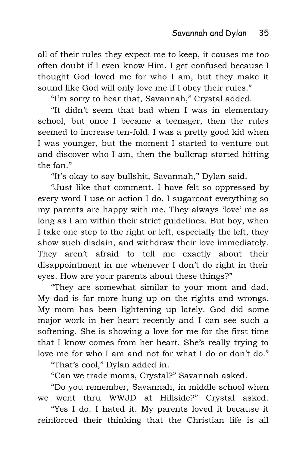all of their rules they expect me to keep, it causes me too often doubt if I even know Him. I get confused because I thought God loved me for who I am, but they make it sound like God will only love me if I obey their rules."

"I'm sorry to hear that, Savannah," Crystal added.

"It didn't seem that bad when I was in elementary school, but once I became a teenager, then the rules seemed to increase ten-fold. I was a pretty good kid when I was younger, but the moment I started to venture out and discover who I am, then the bullcrap started hitting the fan."

"It's okay to say bullshit, Savannah," Dylan said.

"Just like that comment. I have felt so oppressed by every word I use or action I do. I sugarcoat everything so my parents are happy with me. They always 'love' me as long as I am within their strict guidelines. But boy, when I take one step to the right or left, especially the left, they show such disdain, and withdraw their love immediately. They aren't afraid to tell me exactly about their disappointment in me whenever I don't do right in their eyes. How are your parents about these things?"

"They are somewhat similar to your mom and dad. My dad is far more hung up on the rights and wrongs. My mom has been lightening up lately. God did some major work in her heart recently and I can see such a softening. She is showing a love for me for the first time that I know comes from her heart. She's really trying to love me for who I am and not for what I do or don't do."

"That's cool," Dylan added in.

"Can we trade moms, Crystal?" Savannah asked.

"Do you remember, Savannah, in middle school when we went thru WWJD at Hillside?" Crystal asked.

"Yes I do. I hated it. My parents loved it because it reinforced their thinking that the Christian life is all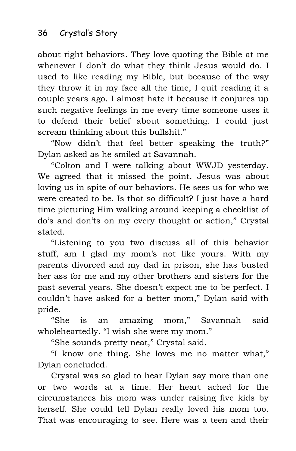about right behaviors. They love quoting the Bible at me whenever I don't do what they think Jesus would do. I used to like reading my Bible, but because of the way they throw it in my face all the time, I quit reading it a couple years ago. I almost hate it because it conjures up such negative feelings in me every time someone uses it to defend their belief about something. I could just scream thinking about this bullshit."

"Now didn't that feel better speaking the truth?" Dylan asked as he smiled at Savannah.

"Colton and I were talking about WWJD yesterday. We agreed that it missed the point. Jesus was about loving us in spite of our behaviors. He sees us for who we were created to be. Is that so difficult? I just have a hard time picturing Him walking around keeping a checklist of do's and don'ts on my every thought or action," Crystal stated.

"Listening to you two discuss all of this behavior stuff, am I glad my mom's not like yours. With my parents divorced and my dad in prison, she has busted her ass for me and my other brothers and sisters for the past several years. She doesn't expect me to be perfect. I couldn't have asked for a better mom," Dylan said with pride.

"She is an amazing mom," Savannah said wholeheartedly. "I wish she were my mom."

"She sounds pretty neat," Crystal said.

"I know one thing. She loves me no matter what," Dylan concluded.

Crystal was so glad to hear Dylan say more than one or two words at a time. Her heart ached for the circumstances his mom was under raising five kids by herself. She could tell Dylan really loved his mom too. That was encouraging to see. Here was a teen and their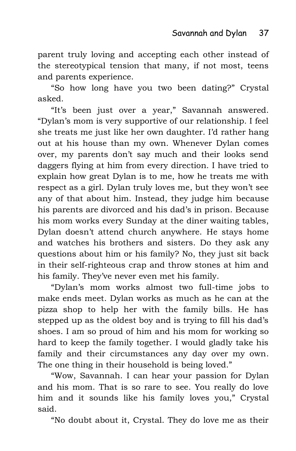parent truly loving and accepting each other instead of the stereotypical tension that many, if not most, teens and parents experience.

"So how long have you two been dating?" Crystal asked.

"It's been just over a year," Savannah answered. "Dylan's mom is very supportive of our relationship. I feel she treats me just like her own daughter. I'd rather hang out at his house than my own. Whenever Dylan comes over, my parents don't say much and their looks send daggers flying at him from every direction. I have tried to explain how great Dylan is to me, how he treats me with respect as a girl. Dylan truly loves me, but they won't see any of that about him. Instead, they judge him because his parents are divorced and his dad's in prison. Because his mom works every Sunday at the diner waiting tables, Dylan doesn't attend church anywhere. He stays home and watches his brothers and sisters. Do they ask any questions about him or his family? No, they just sit back in their self-righteous crap and throw stones at him and his family. They've never even met his family.

"Dylan's mom works almost two full-time jobs to make ends meet. Dylan works as much as he can at the pizza shop to help her with the family bills. He has stepped up as the oldest boy and is trying to fill his dad's shoes. I am so proud of him and his mom for working so hard to keep the family together. I would gladly take his family and their circumstances any day over my own. The one thing in their household is being loved."

"Wow, Savannah. I can hear your passion for Dylan and his mom. That is so rare to see. You really do love him and it sounds like his family loves you," Crystal said.

"No doubt about it, Crystal. They do love me as their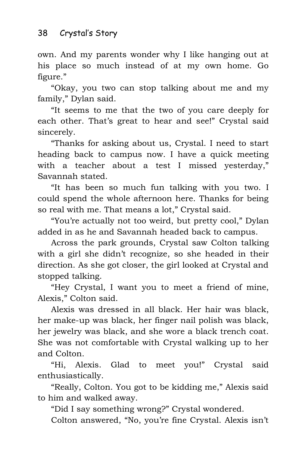own. And my parents wonder why I like hanging out at his place so much instead of at my own home. Go figure."

"Okay, you two can stop talking about me and my family," Dylan said.

"It seems to me that the two of you care deeply for each other. That's great to hear and see!" Crystal said sincerely.

"Thanks for asking about us, Crystal. I need to start heading back to campus now. I have a quick meeting with a teacher about a test I missed yesterday," Savannah stated.

"It has been so much fun talking with you two. I could spend the whole afternoon here. Thanks for being so real with me. That means a lot," Crystal said.

"You're actually not too weird, but pretty cool," Dylan added in as he and Savannah headed back to campus.

Across the park grounds, Crystal saw Colton talking with a girl she didn't recognize, so she headed in their direction. As she got closer, the girl looked at Crystal and stopped talking.

"Hey Crystal, I want you to meet a friend of mine, Alexis," Colton said.

Alexis was dressed in all black. Her hair was black, her make-up was black, her finger nail polish was black, her jewelry was black, and she wore a black trench coat. She was not comfortable with Crystal walking up to her and Colton.

"Hi, Alexis. Glad to meet you!" Crystal said enthusiastically.

"Really, Colton. You got to be kidding me," Alexis said to him and walked away.

"Did I say something wrong?" Crystal wondered.

Colton answered, "No, you're fine Crystal. Alexis isn't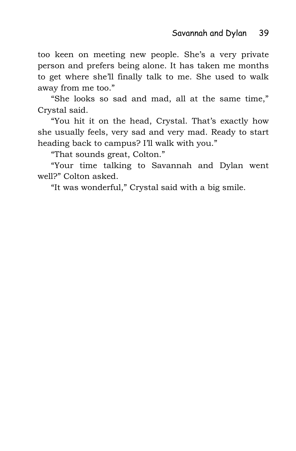too keen on meeting new people. She's a very private person and prefers being alone. It has taken me months to get where she'll finally talk to me. She used to walk away from me too."

"She looks so sad and mad, all at the same time," Crystal said.

"You hit it on the head, Crystal. That's exactly how she usually feels, very sad and very mad. Ready to start heading back to campus? I'll walk with you."

"That sounds great, Colton."

"Your time talking to Savannah and Dylan went well?" Colton asked.

"It was wonderful," Crystal said with a big smile.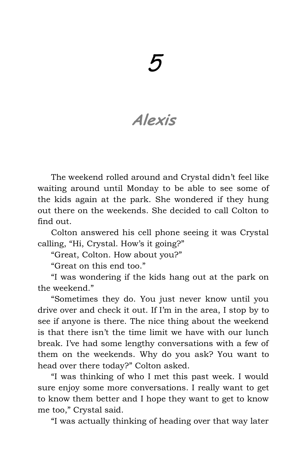# 5

## **Alexis**

The weekend rolled around and Crystal didn't feel like waiting around until Monday to be able to see some of the kids again at the park. She wondered if they hung out there on the weekends. She decided to call Colton to find out.

Colton answered his cell phone seeing it was Crystal calling, "Hi, Crystal. How's it going?"

"Great, Colton. How about you?"

"Great on this end too."

"I was wondering if the kids hang out at the park on the weekend."

"Sometimes they do. You just never know until you drive over and check it out. If I'm in the area, I stop by to see if anyone is there. The nice thing about the weekend is that there isn't the time limit we have with our lunch break. I've had some lengthy conversations with a few of them on the weekends. Why do you ask? You want to head over there today?" Colton asked.

"I was thinking of who I met this past week. I would sure enjoy some more conversations. I really want to get to know them better and I hope they want to get to know me too," Crystal said.

"I was actually thinking of heading over that way later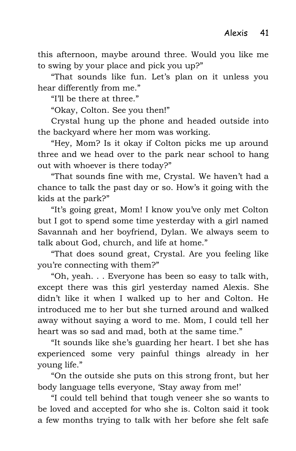this afternoon, maybe around three. Would you like me to swing by your place and pick you up?"

"That sounds like fun. Let's plan on it unless you hear differently from me."

"I'll be there at three."

"Okay, Colton. See you then!"

Crystal hung up the phone and headed outside into the backyard where her mom was working.

"Hey, Mom? Is it okay if Colton picks me up around three and we head over to the park near school to hang out with whoever is there today?"

"That sounds fine with me, Crystal. We haven't had a chance to talk the past day or so. How's it going with the kids at the park?"

"It's going great, Mom! I know you've only met Colton but I got to spend some time yesterday with a girl named Savannah and her boyfriend, Dylan. We always seem to talk about God, church, and life at home."

"That does sound great, Crystal. Are you feeling like you're connecting with them?"

"Oh, yeah. . . Everyone has been so easy to talk with, except there was this girl yesterday named Alexis. She didn't like it when I walked up to her and Colton. He introduced me to her but she turned around and walked away without saying a word to me. Mom, I could tell her heart was so sad and mad, both at the same time."

"It sounds like she's guarding her heart. I bet she has experienced some very painful things already in her young life."

"On the outside she puts on this strong front, but her body language tells everyone, 'Stay away from me!'

"I could tell behind that tough veneer she so wants to be loved and accepted for who she is. Colton said it took a few months trying to talk with her before she felt safe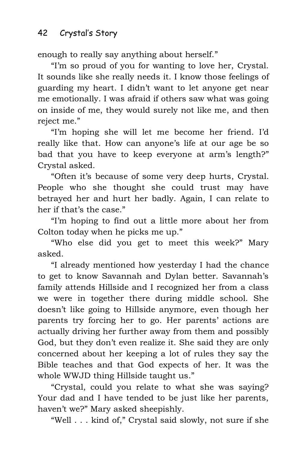enough to really say anything about herself."

"I'm so proud of you for wanting to love her, Crystal. It sounds like she really needs it. I know those feelings of guarding my heart. I didn't want to let anyone get near me emotionally. I was afraid if others saw what was going on inside of me, they would surely not like me, and then reject me."

"I'm hoping she will let me become her friend. I'd really like that. How can anyone's life at our age be so bad that you have to keep everyone at arm's length?" Crystal asked.

"Often it's because of some very deep hurts, Crystal. People who she thought she could trust may have betrayed her and hurt her badly. Again, I can relate to her if that's the case."

"I'm hoping to find out a little more about her from Colton today when he picks me up."

"Who else did you get to meet this week?" Mary asked.

"I already mentioned how yesterday I had the chance to get to know Savannah and Dylan better. Savannah's family attends Hillside and I recognized her from a class we were in together there during middle school. She doesn't like going to Hillside anymore, even though her parents try forcing her to go. Her parents' actions are actually driving her further away from them and possibly God, but they don't even realize it. She said they are only concerned about her keeping a lot of rules they say the Bible teaches and that God expects of her. It was the whole WWJD thing Hillside taught us."

"Crystal, could you relate to what she was saying? Your dad and I have tended to be just like her parents, haven't we?" Mary asked sheepishly.

"Well . . . kind of," Crystal said slowly, not sure if she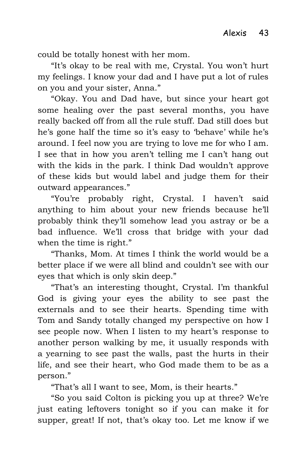could be totally honest with her mom.

"It's okay to be real with me, Crystal. You won't hurt my feelings. I know your dad and I have put a lot of rules on you and your sister, Anna."

"Okay. You and Dad have, but since your heart got some healing over the past several months, you have really backed off from all the rule stuff. Dad still does but he's gone half the time so it's easy to 'behave' while he's around. I feel now you are trying to love me for who I am. I see that in how you aren't telling me I can't hang out with the kids in the park. I think Dad wouldn't approve of these kids but would label and judge them for their outward appearances."

"You're probably right, Crystal. I haven't said anything to him about your new friends because he'll probably think they'll somehow lead you astray or be a bad influence. We'll cross that bridge with your dad when the time is right."

"Thanks, Mom. At times I think the world would be a better place if we were all blind and couldn't see with our eyes that which is only skin deep."

"That's an interesting thought, Crystal. I'm thankful God is giving your eyes the ability to see past the externals and to see their hearts. Spending time with Tom and Sandy totally changed my perspective on how I see people now. When I listen to my heart's response to another person walking by me, it usually responds with a yearning to see past the walls, past the hurts in their life, and see their heart, who God made them to be as a person."

"That's all I want to see, Mom, is their hearts."

"So you said Colton is picking you up at three? We're just eating leftovers tonight so if you can make it for supper, great! If not, that's okay too. Let me know if we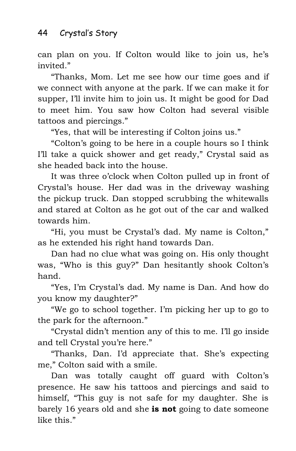can plan on you. If Colton would like to join us, he's invited."

"Thanks, Mom. Let me see how our time goes and if we connect with anyone at the park. If we can make it for supper, I'll invite him to join us. It might be good for Dad to meet him. You saw how Colton had several visible tattoos and piercings."

"Yes, that will be interesting if Colton joins us."

"Colton's going to be here in a couple hours so I think I'll take a quick shower and get ready," Crystal said as she headed back into the house.

It was three o'clock when Colton pulled up in front of Crystal's house. Her dad was in the driveway washing the pickup truck. Dan stopped scrubbing the whitewalls and stared at Colton as he got out of the car and walked towards him.

"Hi, you must be Crystal's dad. My name is Colton," as he extended his right hand towards Dan.

Dan had no clue what was going on. His only thought was, "Who is this guy?" Dan hesitantly shook Colton's hand.

"Yes, I'm Crystal's dad. My name is Dan. And how do you know my daughter?"

"We go to school together. I'm picking her up to go to the park for the afternoon."

"Crystal didn't mention any of this to me. I'll go inside and tell Crystal you're here."

"Thanks, Dan. I'd appreciate that. She's expecting me," Colton said with a smile.

Dan was totally caught off guard with Colton's presence. He saw his tattoos and piercings and said to himself, "This guy is not safe for my daughter. She is barely 16 years old and she **is not** going to date someone like this."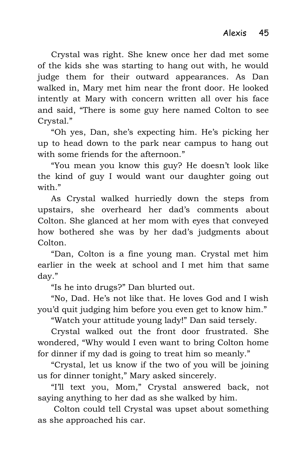Crystal was right. She knew once her dad met some of the kids she was starting to hang out with, he would judge them for their outward appearances. As Dan walked in, Mary met him near the front door. He looked intently at Mary with concern written all over his face and said, "There is some guy here named Colton to see Crystal."

"Oh yes, Dan, she's expecting him. He's picking her up to head down to the park near campus to hang out with some friends for the afternoon."

"You mean you know this guy? He doesn't look like the kind of guy I would want our daughter going out with"

As Crystal walked hurriedly down the steps from upstairs, she overheard her dad's comments about Colton. She glanced at her mom with eyes that conveyed how bothered she was by her dad's judgments about Colton.

"Dan, Colton is a fine young man. Crystal met him earlier in the week at school and I met him that same day."

"Is he into drugs?" Dan blurted out.

"No, Dad. He's not like that. He loves God and I wish you'd quit judging him before you even get to know him."

"Watch your attitude young lady!" Dan said tersely.

Crystal walked out the front door frustrated. She wondered, "Why would I even want to bring Colton home for dinner if my dad is going to treat him so meanly."

"Crystal, let us know if the two of you will be joining us for dinner tonight," Mary asked sincerely.

"I'll text you, Mom," Crystal answered back, not saying anything to her dad as she walked by him.

Colton could tell Crystal was upset about something as she approached his car.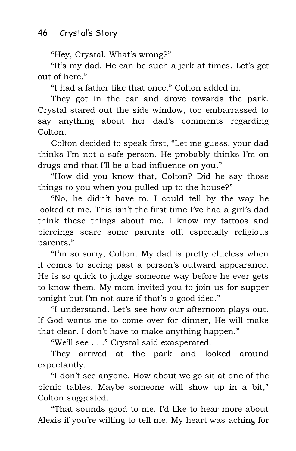"Hey, Crystal. What's wrong?"

"It's my dad. He can be such a jerk at times. Let's get out of here."

"I had a father like that once," Colton added in.

They got in the car and drove towards the park. Crystal stared out the side window, too embarrassed to say anything about her dad's comments regarding Colton.

Colton decided to speak first, "Let me guess, your dad thinks I'm not a safe person. He probably thinks I'm on drugs and that I'll be a bad influence on you."

"How did you know that, Colton? Did he say those things to you when you pulled up to the house?"

"No, he didn't have to. I could tell by the way he looked at me. This isn't the first time I've had a girl's dad think these things about me. I know my tattoos and piercings scare some parents off, especially religious parents."

"I'm so sorry, Colton. My dad is pretty clueless when it comes to seeing past a person's outward appearance. He is so quick to judge someone way before he ever gets to know them. My mom invited you to join us for supper tonight but I'm not sure if that's a good idea."

"I understand. Let's see how our afternoon plays out. If God wants me to come over for dinner, He will make that clear. I don't have to make anything happen."

"We'll see . . ." Crystal said exasperated.

They arrived at the park and looked around expectantly.

"I don't see anyone. How about we go sit at one of the picnic tables. Maybe someone will show up in a bit," Colton suggested.

"That sounds good to me. I'd like to hear more about Alexis if you're willing to tell me. My heart was aching for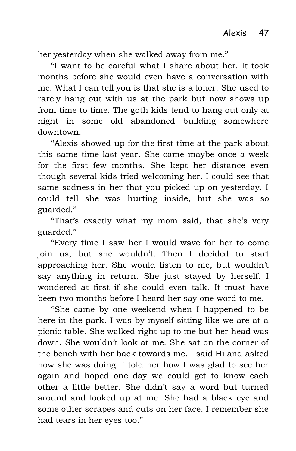her yesterday when she walked away from me."

"I want to be careful what I share about her. It took months before she would even have a conversation with me. What I can tell you is that she is a loner. She used to rarely hang out with us at the park but now shows up from time to time. The goth kids tend to hang out only at night in some old abandoned building somewhere downtown.

"Alexis showed up for the first time at the park about this same time last year. She came maybe once a week for the first few months. She kept her distance even though several kids tried welcoming her. I could see that same sadness in her that you picked up on yesterday. I could tell she was hurting inside, but she was so guarded."

"That's exactly what my mom said, that she's very guarded."

"Every time I saw her I would wave for her to come join us, but she wouldn't. Then I decided to start approaching her. She would listen to me, but wouldn't say anything in return. She just stayed by herself. I wondered at first if she could even talk. It must have been two months before I heard her say one word to me.

"She came by one weekend when I happened to be here in the park. I was by myself sitting like we are at a picnic table. She walked right up to me but her head was down. She wouldn't look at me. She sat on the corner of the bench with her back towards me. I said Hi and asked how she was doing. I told her how I was glad to see her again and hoped one day we could get to know each other a little better. She didn't say a word but turned around and looked up at me. She had a black eye and some other scrapes and cuts on her face. I remember she had tears in her eyes too."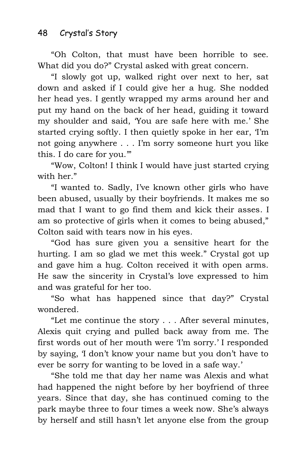"Oh Colton, that must have been horrible to see. What did you do?" Crystal asked with great concern.

"I slowly got up, walked right over next to her, sat down and asked if I could give her a hug. She nodded her head yes. I gently wrapped my arms around her and put my hand on the back of her head, guiding it toward my shoulder and said, 'You are safe here with me.' She started crying softly. I then quietly spoke in her ear, 'I'm not going anywhere . . . I'm sorry someone hurt you like this. I do care for you.'"

"Wow, Colton! I think I would have just started crying with her."

"I wanted to. Sadly, I've known other girls who have been abused, usually by their boyfriends. It makes me so mad that I want to go find them and kick their asses. I am so protective of girls when it comes to being abused," Colton said with tears now in his eyes.

"God has sure given you a sensitive heart for the hurting. I am so glad we met this week." Crystal got up and gave him a hug. Colton received it with open arms. He saw the sincerity in Crystal's love expressed to him and was grateful for her too.

"So what has happened since that day?" Crystal wondered.

"Let me continue the story . . . After several minutes, Alexis quit crying and pulled back away from me. The first words out of her mouth were 'I'm sorry.' I responded by saying, 'I don't know your name but you don't have to ever be sorry for wanting to be loved in a safe way.'

"She told me that day her name was Alexis and what had happened the night before by her boyfriend of three years. Since that day, she has continued coming to the park maybe three to four times a week now. She's always by herself and still hasn't let anyone else from the group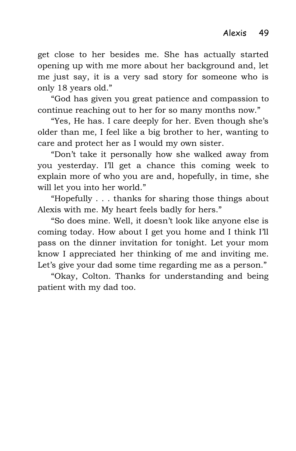get close to her besides me. She has actually started opening up with me more about her background and, let me just say, it is a very sad story for someone who is only 18 years old."

"God has given you great patience and compassion to continue reaching out to her for so many months now."

"Yes, He has. I care deeply for her. Even though she's older than me, I feel like a big brother to her, wanting to care and protect her as I would my own sister.

"Don't take it personally how she walked away from you yesterday. I'll get a chance this coming week to explain more of who you are and, hopefully, in time, she will let you into her world."

"Hopefully . . . thanks for sharing those things about Alexis with me. My heart feels badly for hers."

"So does mine. Well, it doesn't look like anyone else is coming today. How about I get you home and I think I'll pass on the dinner invitation for tonight. Let your mom know I appreciated her thinking of me and inviting me. Let's give your dad some time regarding me as a person."

"Okay, Colton. Thanks for understanding and being patient with my dad too.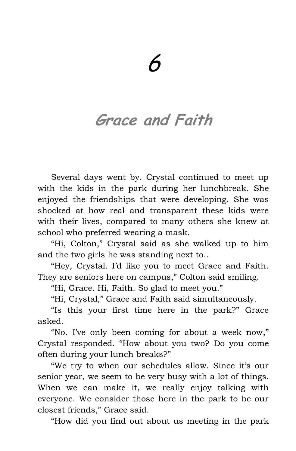## **Grace and Faith**

Several days went by. Crystal continued to meet up with the kids in the park during her lunchbreak. She enjoyed the friendships that were developing. She was shocked at how real and transparent these kids were with their lives, compared to many others she knew at school who preferred wearing a mask.

"Hi, Colton," Crystal said as she walked up to him and the two girls he was standing next to..

"Hey, Crystal. I'd like you to meet Grace and Faith. They are seniors here on campus," Colton said smiling.

"Hi, Grace. Hi, Faith. So glad to meet you."

"Hi, Crystal," Grace and Faith said simultaneously.

"Is this your first time here in the park?" Grace asked.

"No. I've only been coming for about a week now," Crystal responded. "How about you two? Do you come often during your lunch breaks?"

"We try to when our schedules allow. Since it's our senior year, we seem to be very busy with a lot of things. When we can make it, we really enjoy talking with everyone. We consider those here in the park to be our closest friends," Grace said.

"How did you find out about us meeting in the park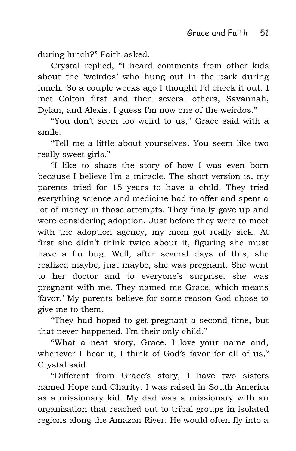during lunch?" Faith asked.

Crystal replied, "I heard comments from other kids about the 'weirdos' who hung out in the park during lunch. So a couple weeks ago I thought I'd check it out. I met Colton first and then several others, Savannah, Dylan, and Alexis. I guess I'm now one of the weirdos."

"You don't seem too weird to us," Grace said with a smile.

"Tell me a little about yourselves. You seem like two really sweet girls."

"I like to share the story of how I was even born because I believe I'm a miracle. The short version is, my parents tried for 15 years to have a child. They tried everything science and medicine had to offer and spent a lot of money in those attempts. They finally gave up and were considering adoption. Just before they were to meet with the adoption agency, my mom got really sick. At first she didn't think twice about it, figuring she must have a flu bug. Well, after several days of this, she realized maybe, just maybe, she was pregnant. She went to her doctor and to everyone's surprise, she was pregnant with me. They named me Grace, which means 'favor.' My parents believe for some reason God chose to give me to them.

"They had hoped to get pregnant a second time, but that never happened. I'm their only child."

"What a neat story, Grace. I love your name and, whenever I hear it, I think of God's favor for all of us," Crystal said.

"Different from Grace's story, I have two sisters named Hope and Charity. I was raised in South America as a missionary kid. My dad was a missionary with an organization that reached out to tribal groups in isolated regions along the Amazon River. He would often fly into a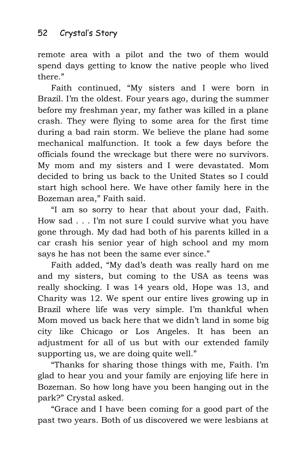remote area with a pilot and the two of them would spend days getting to know the native people who lived there."

Faith continued, "My sisters and I were born in Brazil. I'm the oldest. Four years ago, during the summer before my freshman year, my father was killed in a plane crash. They were flying to some area for the first time during a bad rain storm. We believe the plane had some mechanical malfunction. It took a few days before the officials found the wreckage but there were no survivors. My mom and my sisters and I were devastated. Mom decided to bring us back to the United States so I could start high school here. We have other family here in the Bozeman area," Faith said.

"I am so sorry to hear that about your dad, Faith. How sad . . . I'm not sure I could survive what you have gone through. My dad had both of his parents killed in a car crash his senior year of high school and my mom says he has not been the same ever since."

Faith added, "My dad's death was really hard on me and my sisters, but coming to the USA as teens was really shocking. I was 14 years old, Hope was 13, and Charity was 12. We spent our entire lives growing up in Brazil where life was very simple. I'm thankful when Mom moved us back here that we didn't land in some big city like Chicago or Los Angeles. It has been an adjustment for all of us but with our extended family supporting us, we are doing quite well."

"Thanks for sharing those things with me, Faith. I'm glad to hear you and your family are enjoying life here in Bozeman. So how long have you been hanging out in the park?" Crystal asked.

"Grace and I have been coming for a good part of the past two years. Both of us discovered we were lesbians at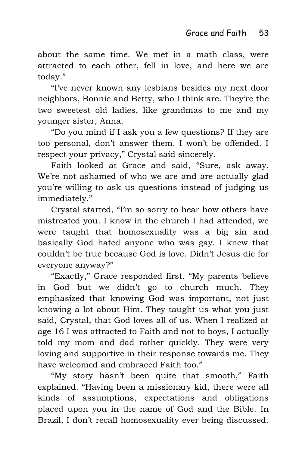about the same time. We met in a math class, were attracted to each other, fell in love, and here we are today."

"I've never known any lesbians besides my next door neighbors, Bonnie and Betty, who I think are. They're the two sweetest old ladies, like grandmas to me and my younger sister, Anna.

"Do you mind if I ask you a few questions? If they are too personal, don't answer them. I won't be offended. I respect your privacy," Crystal said sincerely.

Faith looked at Grace and said, "Sure, ask away. We're not ashamed of who we are and are actually glad you're willing to ask us questions instead of judging us immediately."

Crystal started, "I'm so sorry to hear how others have mistreated you. I know in the church I had attended, we were taught that homosexuality was a big sin and basically God hated anyone who was gay. I knew that couldn't be true because God is love. Didn't Jesus die for everyone anyway?"

"Exactly," Grace responded first. "My parents believe in God but we didn't go to church much. They emphasized that knowing God was important, not just knowing a lot about Him. They taught us what you just said, Crystal, that God loves all of us. When I realized at age 16 I was attracted to Faith and not to boys, I actually told my mom and dad rather quickly. They were very loving and supportive in their response towards me. They have welcomed and embraced Faith too."

"My story hasn't been quite that smooth," Faith explained. "Having been a missionary kid, there were all kinds of assumptions, expectations and obligations placed upon you in the name of God and the Bible. In Brazil, I don't recall homosexuality ever being discussed.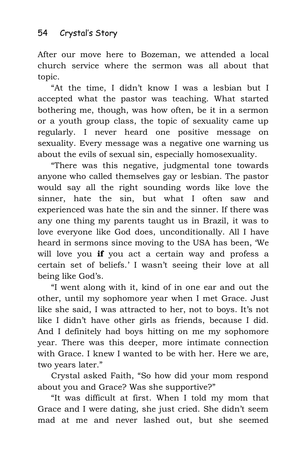After our move here to Bozeman, we attended a local church service where the sermon was all about that topic.

"At the time, I didn't know I was a lesbian but I accepted what the pastor was teaching. What started bothering me, though, was how often, be it in a sermon or a youth group class, the topic of sexuality came up regularly. I never heard one positive message on sexuality. Every message was a negative one warning us about the evils of sexual sin, especially homosexuality.

"There was this negative, judgmental tone towards anyone who called themselves gay or lesbian. The pastor would say all the right sounding words like love the sinner, hate the sin, but what I often saw and experienced was hate the sin and the sinner. If there was any one thing my parents taught us in Brazil, it was to love everyone like God does, unconditionally. All I have heard in sermons since moving to the USA has been, 'We will love you **if** you act a certain way and profess a certain set of beliefs.' I wasn't seeing their love at all being like God's.

"I went along with it, kind of in one ear and out the other, until my sophomore year when I met Grace. Just like she said, I was attracted to her, not to boys. It's not like I didn't have other girls as friends, because I did. And I definitely had boys hitting on me my sophomore year. There was this deeper, more intimate connection with Grace. I knew I wanted to be with her. Here we are, two years later."

Crystal asked Faith, "So how did your mom respond about you and Grace? Was she supportive?"

"It was difficult at first. When I told my mom that Grace and I were dating, she just cried. She didn't seem mad at me and never lashed out, but she seemed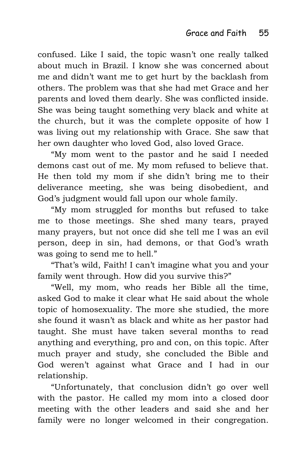confused. Like I said, the topic wasn't one really talked about much in Brazil. I know she was concerned about me and didn't want me to get hurt by the backlash from others. The problem was that she had met Grace and her parents and loved them dearly. She was conflicted inside. She was being taught something very black and white at the church, but it was the complete opposite of how I was living out my relationship with Grace. She saw that her own daughter who loved God, also loved Grace.

"My mom went to the pastor and he said I needed demons cast out of me. My mom refused to believe that. He then told my mom if she didn't bring me to their deliverance meeting, she was being disobedient, and God's judgment would fall upon our whole family.

"My mom struggled for months but refused to take me to those meetings. She shed many tears, prayed many prayers, but not once did she tell me I was an evil person, deep in sin, had demons, or that God's wrath was going to send me to hell."

"That's wild, Faith! I can't imagine what you and your family went through. How did you survive this?"

"Well, my mom, who reads her Bible all the time, asked God to make it clear what He said about the whole topic of homosexuality. The more she studied, the more she found it wasn't as black and white as her pastor had taught. She must have taken several months to read anything and everything, pro and con, on this topic. After much prayer and study, she concluded the Bible and God weren't against what Grace and I had in our relationship.

"Unfortunately, that conclusion didn't go over well with the pastor. He called my mom into a closed door meeting with the other leaders and said she and her family were no longer welcomed in their congregation.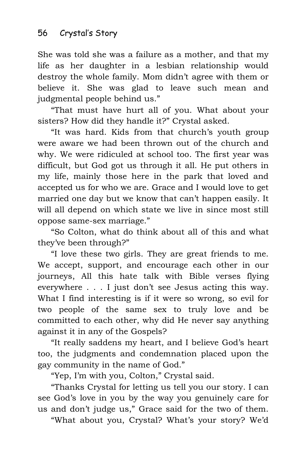She was told she was a failure as a mother, and that my life as her daughter in a lesbian relationship would destroy the whole family. Mom didn't agree with them or believe it. She was glad to leave such mean and judgmental people behind us."

"That must have hurt all of you. What about your sisters? How did they handle it?" Crystal asked.

"It was hard. Kids from that church's youth group were aware we had been thrown out of the church and why. We were ridiculed at school too. The first year was difficult, but God got us through it all. He put others in my life, mainly those here in the park that loved and accepted us for who we are. Grace and I would love to get married one day but we know that can't happen easily. It will all depend on which state we live in since most still oppose same-sex marriage."

"So Colton, what do think about all of this and what they've been through?"

"I love these two girls. They are great friends to me. We accept, support, and encourage each other in our journeys, All this hate talk with Bible verses flying everywhere . . . I just don't see Jesus acting this way. What I find interesting is if it were so wrong, so evil for two people of the same sex to truly love and be committed to each other, why did He never say anything against it in any of the Gospels?

"It really saddens my heart, and I believe God's heart too, the judgments and condemnation placed upon the gay community in the name of God."

"Yep, I'm with you, Colton," Crystal said.

"Thanks Crystal for letting us tell you our story. I can see God's love in you by the way you genuinely care for us and don't judge us," Grace said for the two of them.

"What about you, Crystal? What's your story? We'd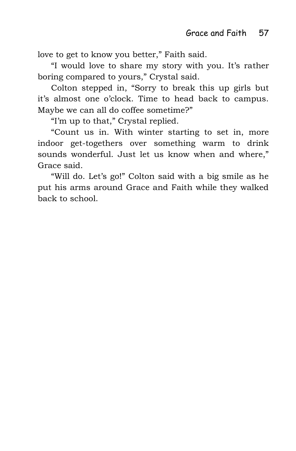love to get to know you better," Faith said.

"I would love to share my story with you. It's rather boring compared to yours," Crystal said.

Colton stepped in, "Sorry to break this up girls but it's almost one o'clock. Time to head back to campus. Maybe we can all do coffee sometime?"

"I'm up to that," Crystal replied.

"Count us in. With winter starting to set in, more indoor get-togethers over something warm to drink sounds wonderful. Just let us know when and where," Grace said.

"Will do. Let's go!" Colton said with a big smile as he put his arms around Grace and Faith while they walked back to school.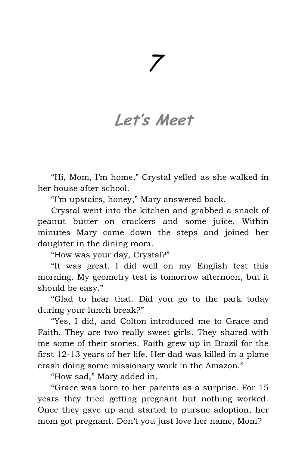## 7

#### **Let's Meet**

"Hi, Mom, I'm home," Crystal yelled as she walked in her house after school.

"I'm upstairs, honey," Mary answered back.

Crystal went into the kitchen and grabbed a snack of peanut butter on crackers and some juice. Within minutes Mary came down the steps and joined her daughter in the dining room.

"How was your day, Crystal?"

"It was great. I did well on my English test this morning. My geometry test is tomorrow afternoon, but it should be easy."

"Glad to hear that. Did you go to the park today during your lunch break?"

"Yes, I did, and Colton introduced me to Grace and Faith. They are two really sweet girls. They shared with me some of their stories. Faith grew up in Brazil for the first 12-13 years of her life. Her dad was killed in a plane crash doing some missionary work in the Amazon."

"How sad," Mary added in.

"Grace was born to her parents as a surprise. For 15 years they tried getting pregnant but nothing worked. Once they gave up and started to pursue adoption, her mom got pregnant. Don't you just love her name, Mom?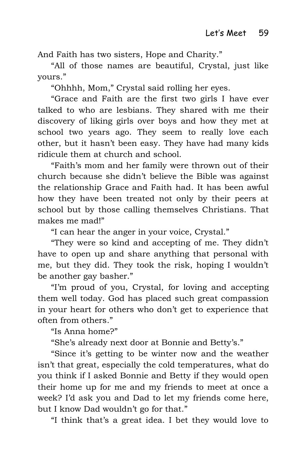And Faith has two sisters, Hope and Charity."

"All of those names are beautiful, Crystal, just like yours."

"Ohhhh, Mom," Crystal said rolling her eyes.

"Grace and Faith are the first two girls I have ever talked to who are lesbians. They shared with me their discovery of liking girls over boys and how they met at school two years ago. They seem to really love each other, but it hasn't been easy. They have had many kids ridicule them at church and school.

"Faith's mom and her family were thrown out of their church because she didn't believe the Bible was against the relationship Grace and Faith had. It has been awful how they have been treated not only by their peers at school but by those calling themselves Christians. That makes me mad!"

"I can hear the anger in your voice, Crystal."

"They were so kind and accepting of me. They didn't have to open up and share anything that personal with me, but they did. They took the risk, hoping I wouldn't be another gay basher."

"I'm proud of you, Crystal, for loving and accepting them well today. God has placed such great compassion in your heart for others who don't get to experience that often from others."

"Is Anna home?"

"She's already next door at Bonnie and Betty's."

"Since it's getting to be winter now and the weather isn't that great, especially the cold temperatures, what do you think if I asked Bonnie and Betty if they would open their home up for me and my friends to meet at once a week? I'd ask you and Dad to let my friends come here, but I know Dad wouldn't go for that."

"I think that's a great idea. I bet they would love to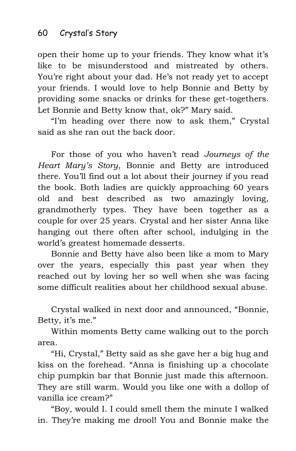open their home up to your friends. They know what it's like to be misunderstood and mistreated by others. You're right about your dad. He's not ready yet to accept your friends. I would love to help Bonnie and Betty by providing some snacks or drinks for these get-togethers. Let Bonnie and Betty know that, ok?" Mary said.

"I'm heading over there now to ask them," Crystal said as she ran out the back door.

For those of you who haven't read *Journeys of the Heart Mary's Story*, Bonnie and Betty are introduced there. You'll find out a lot about their journey if you read the book. Both ladies are quickly approaching 60 years old and best described as two amazingly loving, grandmotherly types. They have been together as a couple for over 25 years. Crystal and her sister Anna like hanging out there often after school, indulging in the world's greatest homemade desserts.

Bonnie and Betty have also been like a mom to Mary over the years, especially this past year when they reached out by loving her so well when she was facing some difficult realities about her childhood sexual abuse.

Crystal walked in next door and announced, "Bonnie, Betty, it's me."

Within moments Betty came walking out to the porch area.

"Hi, Crystal," Betty said as she gave her a big hug and kiss on the forehead. "Anna is finishing up a chocolate chip pumpkin bar that Bonnie just made this afternoon. They are still warm. Would you like one with a dollop of vanilla ice cream?"

"Boy, would I. I could smell them the minute I walked in. They're making me drool! You and Bonnie make the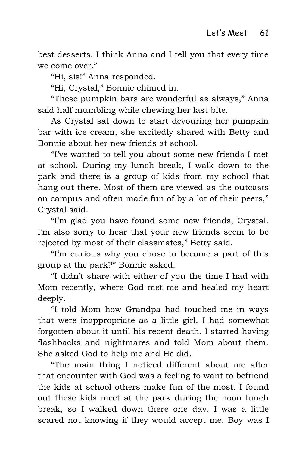best desserts. I think Anna and I tell you that every time we come over."

"Hi, sis!" Anna responded.

"Hi, Crystal," Bonnie chimed in.

"These pumpkin bars are wonderful as always," Anna said half mumbling while chewing her last bite.

As Crystal sat down to start devouring her pumpkin bar with ice cream, she excitedly shared with Betty and Bonnie about her new friends at school.

"I've wanted to tell you about some new friends I met at school. During my lunch break, I walk down to the park and there is a group of kids from my school that hang out there. Most of them are viewed as the outcasts on campus and often made fun of by a lot of their peers," Crystal said.

"I'm glad you have found some new friends, Crystal. I'm also sorry to hear that your new friends seem to be rejected by most of their classmates," Betty said.

"I'm curious why you chose to become a part of this group at the park?" Bonnie asked.

"I didn't share with either of you the time I had with Mom recently, where God met me and healed my heart deeply.

"I told Mom how Grandpa had touched me in ways that were inappropriate as a little girl. I had somewhat forgotten about it until his recent death. I started having flashbacks and nightmares and told Mom about them. She asked God to help me and He did.

"The main thing I noticed different about me after that encounter with God was a feeling to want to befriend the kids at school others make fun of the most. I found out these kids meet at the park during the noon lunch break, so I walked down there one day. I was a little scared not knowing if they would accept me. Boy was I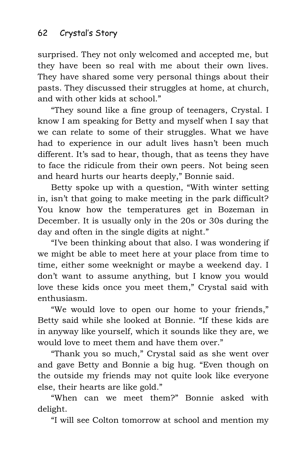surprised. They not only welcomed and accepted me, but they have been so real with me about their own lives. They have shared some very personal things about their pasts. They discussed their struggles at home, at church, and with other kids at school."

"They sound like a fine group of teenagers, Crystal. I know I am speaking for Betty and myself when I say that we can relate to some of their struggles. What we have had to experience in our adult lives hasn't been much different. It's sad to hear, though, that as teens they have to face the ridicule from their own peers. Not being seen and heard hurts our hearts deeply," Bonnie said.

Betty spoke up with a question, "With winter setting in, isn't that going to make meeting in the park difficult? You know how the temperatures get in Bozeman in December. It is usually only in the 20s or 30s during the day and often in the single digits at night."

"I've been thinking about that also. I was wondering if we might be able to meet here at your place from time to time, either some weeknight or maybe a weekend day. I don't want to assume anything, but I know you would love these kids once you meet them," Crystal said with enthusiasm.

"We would love to open our home to your friends," Betty said while she looked at Bonnie. "If these kids are in anyway like yourself, which it sounds like they are, we would love to meet them and have them over."

"Thank you so much," Crystal said as she went over and gave Betty and Bonnie a big hug. "Even though on the outside my friends may not quite look like everyone else, their hearts are like gold."

"When can we meet them?" Bonnie asked with delight.

"I will see Colton tomorrow at school and mention my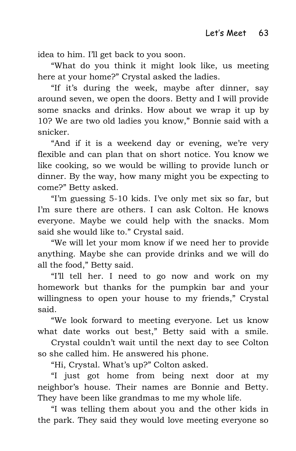idea to him. I'll get back to you soon.

"What do you think it might look like, us meeting here at your home?" Crystal asked the ladies.

"If it's during the week, maybe after dinner, say around seven, we open the doors. Betty and I will provide some snacks and drinks. How about we wrap it up by 10? We are two old ladies you know," Bonnie said with a snicker.

"And if it is a weekend day or evening, we're very flexible and can plan that on short notice. You know we like cooking, so we would be willing to provide lunch or dinner. By the way, how many might you be expecting to come?" Betty asked.

"I'm guessing 5-10 kids. I've only met six so far, but I'm sure there are others. I can ask Colton. He knows everyone. Maybe we could help with the snacks. Mom said she would like to." Crystal said.

"We will let your mom know if we need her to provide anything. Maybe she can provide drinks and we will do all the food," Betty said.

"I'll tell her. I need to go now and work on my homework but thanks for the pumpkin bar and your willingness to open your house to my friends," Crystal said.

"We look forward to meeting everyone. Let us know what date works out best," Betty said with a smile.

Crystal couldn't wait until the next day to see Colton so she called him. He answered his phone.

"Hi, Crystal. What's up?" Colton asked.

"I just got home from being next door at my neighbor's house. Their names are Bonnie and Betty. They have been like grandmas to me my whole life.

"I was telling them about you and the other kids in the park. They said they would love meeting everyone so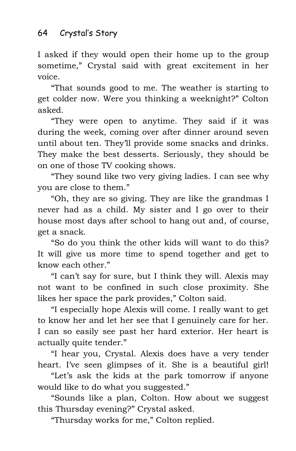I asked if they would open their home up to the group sometime," Crystal said with great excitement in her voice.

"That sounds good to me. The weather is starting to get colder now. Were you thinking a weeknight?" Colton asked.

"They were open to anytime. They said if it was during the week, coming over after dinner around seven until about ten. They'll provide some snacks and drinks. They make the best desserts. Seriously, they should be on one of those TV cooking shows.

"They sound like two very giving ladies. I can see why you are close to them."

"Oh, they are so giving. They are like the grandmas I never had as a child. My sister and I go over to their house most days after school to hang out and, of course, get a snack.

"So do you think the other kids will want to do this? It will give us more time to spend together and get to know each other."

"I can't say for sure, but I think they will. Alexis may not want to be confined in such close proximity. She likes her space the park provides," Colton said.

"I especially hope Alexis will come. I really want to get to know her and let her see that I genuinely care for her. I can so easily see past her hard exterior. Her heart is actually quite tender."

"I hear you, Crystal. Alexis does have a very tender heart. I've seen glimpses of it. She is a beautiful girl!

"Let's ask the kids at the park tomorrow if anyone would like to do what you suggested."

"Sounds like a plan, Colton. How about we suggest this Thursday evening?" Crystal asked.

"Thursday works for me," Colton replied.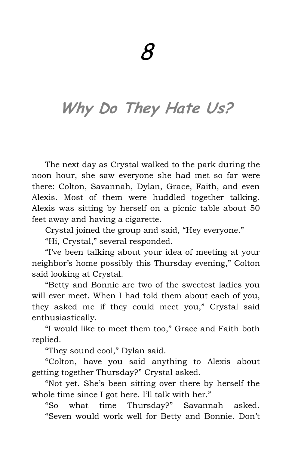## **Why Do They Hate Us?**

The next day as Crystal walked to the park during the noon hour, she saw everyone she had met so far were there: Colton, Savannah, Dylan, Grace, Faith, and even Alexis. Most of them were huddled together talking. Alexis was sitting by herself on a picnic table about 50 feet away and having a cigarette.

Crystal joined the group and said, "Hey everyone."

"Hi, Crystal," several responded.

"I've been talking about your idea of meeting at your neighbor's home possibly this Thursday evening," Colton said looking at Crystal.

"Betty and Bonnie are two of the sweetest ladies you will ever meet. When I had told them about each of you, they asked me if they could meet you," Crystal said enthusiastically.

"I would like to meet them too," Grace and Faith both replied.

"They sound cool," Dylan said.

"Colton, have you said anything to Alexis about getting together Thursday?" Crystal asked.

"Not yet. She's been sitting over there by herself the whole time since I got here. I'll talk with her."

"So what time Thursday?" Savannah asked. "Seven would work well for Betty and Bonnie. Don't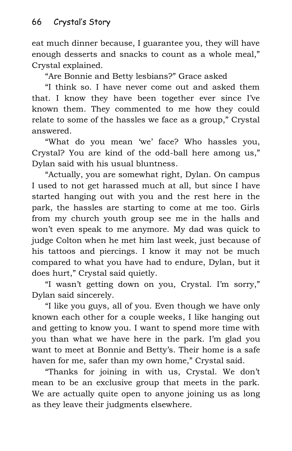eat much dinner because, I guarantee you, they will have enough desserts and snacks to count as a whole meal," Crystal explained.

"Are Bonnie and Betty lesbians?" Grace asked

"I think so. I have never come out and asked them that. I know they have been together ever since I've known them. They commented to me how they could relate to some of the hassles we face as a group," Crystal answered.

"What do you mean 'we' face? Who hassles you, Crystal? You are kind of the odd-ball here among us," Dylan said with his usual bluntness.

"Actually, you are somewhat right, Dylan. On campus I used to not get harassed much at all, but since I have started hanging out with you and the rest here in the park, the hassles are starting to come at me too. Girls from my church youth group see me in the halls and won't even speak to me anymore. My dad was quick to judge Colton when he met him last week, just because of his tattoos and piercings. I know it may not be much compared to what you have had to endure, Dylan, but it does hurt," Crystal said quietly.

"I wasn't getting down on you, Crystal. I'm sorry," Dylan said sincerely.

"I like you guys, all of you. Even though we have only known each other for a couple weeks, I like hanging out and getting to know you. I want to spend more time with you than what we have here in the park. I'm glad you want to meet at Bonnie and Betty's. Their home is a safe haven for me, safer than my own home," Crystal said.

"Thanks for joining in with us, Crystal. We don't mean to be an exclusive group that meets in the park. We are actually quite open to anyone joining us as long as they leave their judgments elsewhere.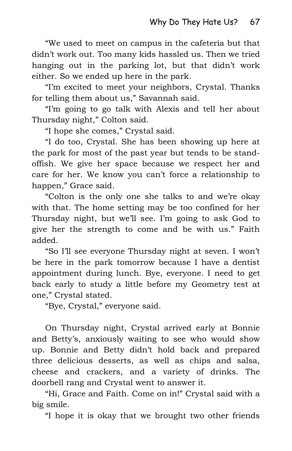"We used to meet on campus in the cafeteria but that didn't work out. Too many kids hassled us. Then we tried hanging out in the parking lot, but that didn't work either. So we ended up here in the park.

"I'm excited to meet your neighbors, Crystal. Thanks for telling them about us," Savannah said.

"I'm going to go talk with Alexis and tell her about Thursday night," Colton said.

"I hope she comes," Crystal said.

"I do too, Crystal. She has been showing up here at the park for most of the past year but tends to be standoffish. We give her space because we respect her and care for her. We know you can't force a relationship to happen," Grace said.

"Colton is the only one she talks to and we're okay with that. The home setting may be too confined for her Thursday night, but we'll see. I'm going to ask God to give her the strength to come and be with us." Faith added.

"So I'll see everyone Thursday night at seven. I won't be here in the park tomorrow because I have a dentist appointment during lunch. Bye, everyone. I need to get back early to study a little before my Geometry test at one," Crystal stated.

"Bye, Crystal," everyone said.

On Thursday night, Crystal arrived early at Bonnie and Betty's, anxiously waiting to see who would show up. Bonnie and Betty didn't hold back and prepared three delicious desserts, as well as chips and salsa, cheese and crackers, and a variety of drinks. The doorbell rang and Crystal went to answer it.

"Hi, Grace and Faith. Come on in!" Crystal said with a big smile.

"I hope it is okay that we brought two other friends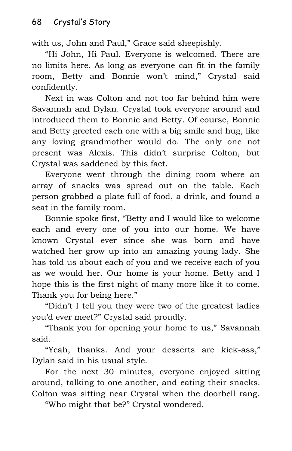with us, John and Paul," Grace said sheepishly.

"Hi John, Hi Paul. Everyone is welcomed. There are no limits here. As long as everyone can fit in the family room, Betty and Bonnie won't mind," Crystal said confidently.

Next in was Colton and not too far behind him were Savannah and Dylan. Crystal took everyone around and introduced them to Bonnie and Betty. Of course, Bonnie and Betty greeted each one with a big smile and hug, like any loving grandmother would do. The only one not present was Alexis. This didn't surprise Colton, but Crystal was saddened by this fact.

Everyone went through the dining room where an array of snacks was spread out on the table. Each person grabbed a plate full of food, a drink, and found a seat in the family room.

Bonnie spoke first, "Betty and I would like to welcome each and every one of you into our home. We have known Crystal ever since she was born and have watched her grow up into an amazing young lady. She has told us about each of you and we receive each of you as we would her. Our home is your home. Betty and I hope this is the first night of many more like it to come. Thank you for being here."

"Didn't I tell you they were two of the greatest ladies you'd ever meet?" Crystal said proudly.

"Thank you for opening your home to us," Savannah said.

"Yeah, thanks. And your desserts are kick-ass," Dylan said in his usual style.

For the next 30 minutes, everyone enjoyed sitting around, talking to one another, and eating their snacks. Colton was sitting near Crystal when the doorbell rang.

"Who might that be?" Crystal wondered.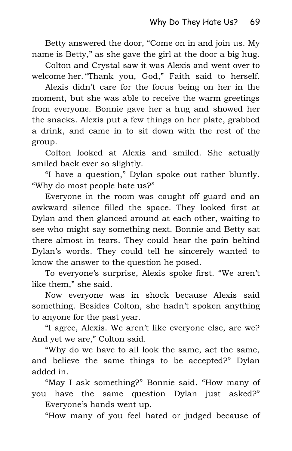Betty answered the door, "Come on in and join us. My name is Betty," as she gave the girl at the door a big hug.

Colton and Crystal saw it was Alexis and went over to welcome her. "Thank you, God," Faith said to herself.

Alexis didn't care for the focus being on her in the moment, but she was able to receive the warm greetings from everyone. Bonnie gave her a hug and showed her the snacks. Alexis put a few things on her plate, grabbed a drink, and came in to sit down with the rest of the group.

Colton looked at Alexis and smiled. She actually smiled back ever so slightly.

"I have a question," Dylan spoke out rather bluntly. "Why do most people hate us?"

Everyone in the room was caught off guard and an awkward silence filled the space. They looked first at Dylan and then glanced around at each other, waiting to see who might say something next. Bonnie and Betty sat there almost in tears. They could hear the pain behind Dylan's words. They could tell he sincerely wanted to know the answer to the question he posed.

To everyone's surprise, Alexis spoke first. "We aren't like them," she said.

Now everyone was in shock because Alexis said something. Besides Colton, she hadn't spoken anything to anyone for the past year.

"I agree, Alexis. We aren't like everyone else, are we? And yet we are," Colton said.

"Why do we have to all look the same, act the same, and believe the same things to be accepted?" Dylan added in.

"May I ask something?" Bonnie said. "How many of you have the same question Dylan just asked?" Everyone's hands went up.

"How many of you feel hated or judged because of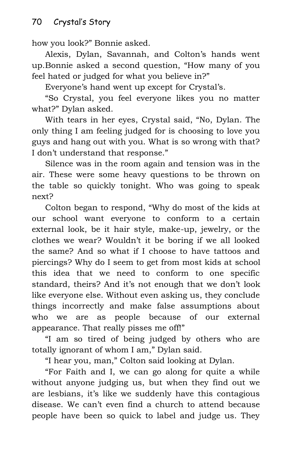how you look?" Bonnie asked.

Alexis, Dylan, Savannah, and Colton's hands went up.Bonnie asked a second question, "How many of you feel hated or judged for what you believe in?"

Everyone's hand went up except for Crystal's.

"So Crystal, you feel everyone likes you no matter what?" Dylan asked.

With tears in her eyes, Crystal said, "No, Dylan. The only thing I am feeling judged for is choosing to love you guys and hang out with you. What is so wrong with that? I don't understand that response."

Silence was in the room again and tension was in the air. These were some heavy questions to be thrown on the table so quickly tonight. Who was going to speak next?

Colton began to respond, "Why do most of the kids at our school want everyone to conform to a certain external look, be it hair style, make-up, jewelry, or the clothes we wear? Wouldn't it be boring if we all looked the same? And so what if I choose to have tattoos and piercings? Why do I seem to get from most kids at school this idea that we need to conform to one specific standard, theirs? And it's not enough that we don't look like everyone else. Without even asking us, they conclude things incorrectly and make false assumptions about who we are as people because of our external appearance. That really pisses me off!"

"I am so tired of being judged by others who are totally ignorant of whom I am," Dylan said.

"I hear you, man," Colton said looking at Dylan.

"For Faith and I, we can go along for quite a while without anyone judging us, but when they find out we are lesbians, it's like we suddenly have this contagious disease. We can't even find a church to attend because people have been so quick to label and judge us. They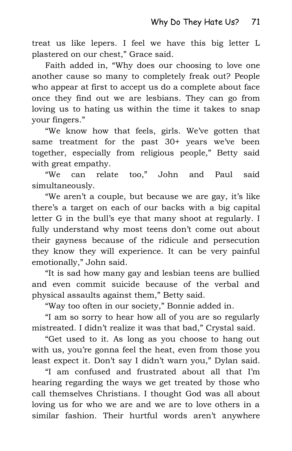treat us like lepers. I feel we have this big letter L plastered on our chest," Grace said.

Faith added in, "Why does our choosing to love one another cause so many to completely freak out? People who appear at first to accept us do a complete about face once they find out we are lesbians. They can go from loving us to hating us within the time it takes to snap your fingers."

"We know how that feels, girls. We've gotten that same treatment for the past 30+ years we've been together, especially from religious people," Betty said with great empathy.

"We can relate too," John and Paul said simultaneously.

"We aren't a couple, but because we are gay, it's like there's a target on each of our backs with a big capital letter G in the bull's eye that many shoot at regularly. I fully understand why most teens don't come out about their gayness because of the ridicule and persecution they know they will experience. It can be very painful emotionally," John said.

"It is sad how many gay and lesbian teens are bullied and even commit suicide because of the verbal and physical assaults against them," Betty said.

"Way too often in our society," Bonnie added in.

"I am so sorry to hear how all of you are so regularly mistreated. I didn't realize it was that bad," Crystal said.

"Get used to it. As long as you choose to hang out with us, you're gonna feel the heat, even from those you least expect it. Don't say I didn't warn you," Dylan said.

"I am confused and frustrated about all that I'm hearing regarding the ways we get treated by those who call themselves Christians. I thought God was all about loving us for who we are and we are to love others in a similar fashion. Their hurtful words aren't anywhere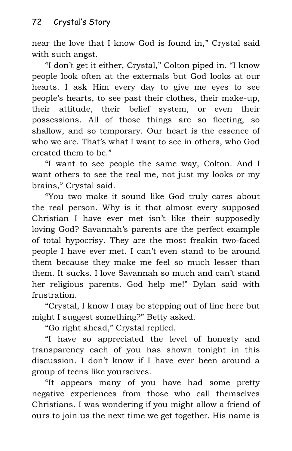near the love that I know God is found in," Crystal said with such angst.

"I don't get it either, Crystal," Colton piped in. "I know people look often at the externals but God looks at our hearts. I ask Him every day to give me eyes to see people's hearts, to see past their clothes, their make-up, their attitude, their belief system, or even their possessions. All of those things are so fleeting, so shallow, and so temporary. Our heart is the essence of who we are. That's what I want to see in others, who God created them to be."

"I want to see people the same way, Colton. And I want others to see the real me, not just my looks or my brains," Crystal said.

"You two make it sound like God truly cares about the real person. Why is it that almost every supposed Christian I have ever met isn't like their supposedly loving God? Savannah's parents are the perfect example of total hypocrisy. They are the most freakin two-faced people I have ever met. I can't even stand to be around them because they make me feel so much lesser than them. It sucks. I love Savannah so much and can't stand her religious parents. God help me!" Dylan said with frustration.

"Crystal, I know I may be stepping out of line here but might I suggest something?" Betty asked.

"Go right ahead," Crystal replied.

"I have so appreciated the level of honesty and transparency each of you has shown tonight in this discussion. I don't know if I have ever been around a group of teens like yourselves.

"It appears many of you have had some pretty negative experiences from those who call themselves Christians. I was wondering if you might allow a friend of ours to join us the next time we get together. His name is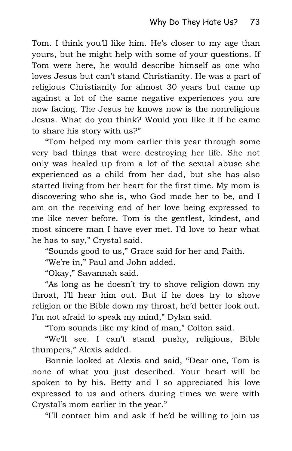Tom. I think you'll like him. He's closer to my age than yours, but he might help with some of your questions. If Tom were here, he would describe himself as one who loves Jesus but can't stand Christianity. He was a part of religious Christianity for almost 30 years but came up against a lot of the same negative experiences you are now facing. The Jesus he knows now is the nonreligious Jesus. What do you think? Would you like it if he came to share his story with us?"

"Tom helped my mom earlier this year through some very bad things that were destroying her life. She not only was healed up from a lot of the sexual abuse she experienced as a child from her dad, but she has also started living from her heart for the first time. My mom is discovering who she is, who God made her to be, and I am on the receiving end of her love being expressed to me like never before. Tom is the gentlest, kindest, and most sincere man I have ever met. I'd love to hear what he has to say," Crystal said.

"Sounds good to us," Grace said for her and Faith.

"We're in," Paul and John added.

"Okay," Savannah said.

"As long as he doesn't try to shove religion down my throat, I'll hear him out. But if he does try to shove religion or the Bible down my throat, he'd better look out. I'm not afraid to speak my mind," Dylan said.

"Tom sounds like my kind of man," Colton said.

"We'll see. I can't stand pushy, religious, Bible thumpers," Alexis added.

Bonnie looked at Alexis and said, "Dear one, Tom is none of what you just described. Your heart will be spoken to by his. Betty and I so appreciated his love expressed to us and others during times we were with Crystal's mom earlier in the year."

"I'll contact him and ask if he'd be willing to join us